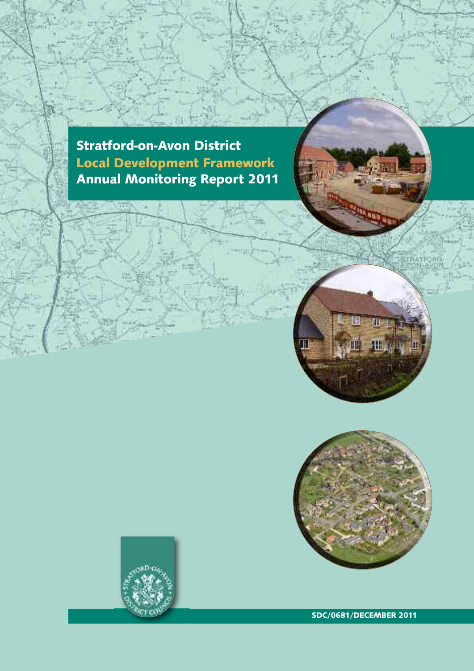**Stratford-on-Avon District Local Development Framework Annual Monitoring Report 2011**



**TRATE** 



**SDC/0681/DECEMBER 2011**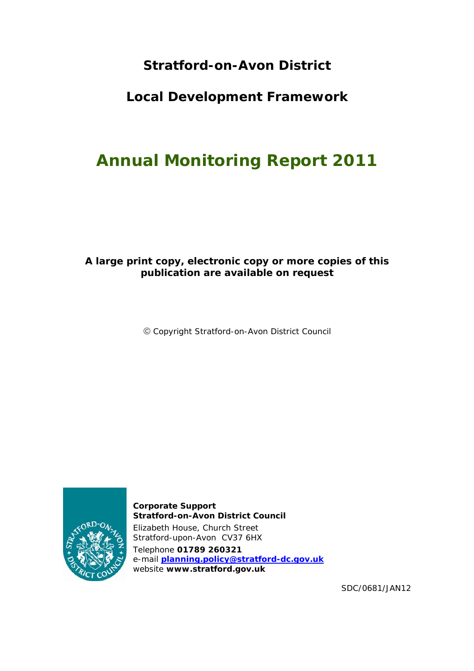# **Stratford-on-Avon District**

# **Local Development Framework**

# **Annual Monitoring Report 2011**

# **A large print copy, electronic copy or more copies of this publication are available on request**

Copyright Stratford-on-Avon District Council



**Corporate Support Stratford-on-Avon District Council**  Elizabeth House, Church Street Stratford-upon-Avon CV37 6HX Telephone **01789 260321** e-mail **planning.policy@stratford-dc.gov.uk** website **www.stratford.gov.uk**

SDC/0681/JAN12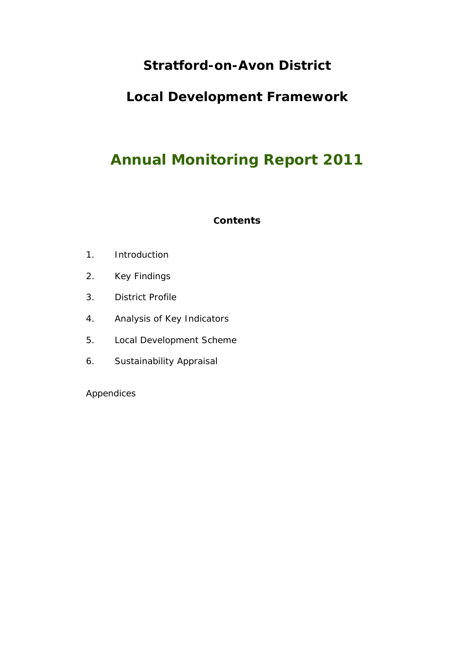# **Stratford-on-Avon District**

# **Local Development Framework**

# **Annual Monitoring Report 2011**

# **Contents**

- 1. Introduction
- 2. Key Findings
- 3. District Profile
- 4. Analysis of Key Indicators
- 5. Local Development Scheme
- 6. Sustainability Appraisal

Appendices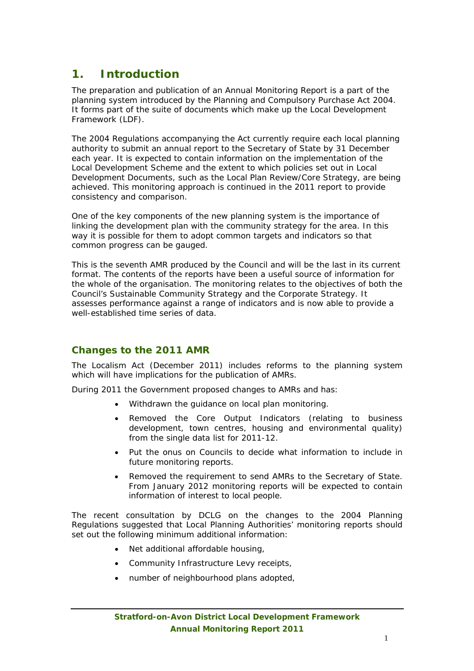# **1. Introduction**

The preparation and publication of an Annual Monitoring Report is a part of the planning system introduced by the Planning and Compulsory Purchase Act 2004. It forms part of the suite of documents which make up the Local Development Framework (LDF).

The 2004 Regulations accompanying the Act currently require each local planning authority to submit an annual report to the Secretary of State by 31 December each year. It is expected to contain information on the implementation of the Local Development Scheme and the extent to which policies set out in Local Development Documents, such as the Local Plan Review/Core Strategy, are being achieved. This monitoring approach is continued in the 2011 report to provide consistency and comparison.

One of the key components of the new planning system is the importance of linking the development plan with the community strategy for the area. In this way it is possible for them to adopt common targets and indicators so that common progress can be gauged.

This is the seventh AMR produced by the Council and will be the last in its current format. The contents of the reports have been a useful source of information for the whole of the organisation. The monitoring relates to the objectives of both the Council's Sustainable Community Strategy and the Corporate Strategy. It assesses performance against a range of indicators and is now able to provide a well-established time series of data.

# **Changes to the 2011 AMR**

The Localism Act (December 2011) includes reforms to the planning system which will have implications for the publication of AMRs.

During 2011 the Government proposed changes to AMRs and has:

- Withdrawn the guidance on local plan monitoring.
- Removed the Core Output Indicators (relating to business development, town centres, housing and environmental quality) from the single data list for 2011-12.
- Put the onus on Councils to decide what information to include in future monitoring reports.
- Removed the requirement to send AMRs to the Secretary of State. From January 2012 monitoring reports will be expected to contain information of interest to local people.

The recent consultation by DCLG on the changes to the 2004 Planning Regulations suggested that Local Planning Authorities' monitoring reports should set out the following minimum additional information:

- Net additional affordable housing,
- Community Infrastructure Levy receipts,
- number of neighbourhood plans adopted,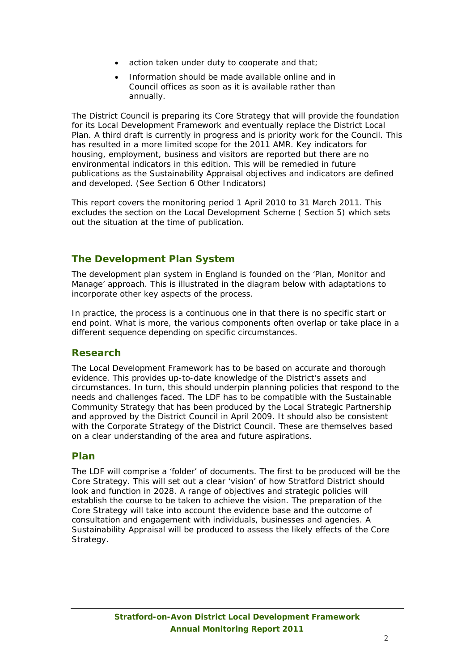- action taken under duty to cooperate and that;
- Information should be made available online and in Council offices as soon as it is available rather than annually.

The District Council is preparing its Core Strategy that will provide the foundation for its Local Development Framework and eventually replace the District Local Plan. A third draft is currently in progress and is priority work for the Council. This has resulted in a more limited scope for the 2011 AMR. Key indicators for housing, employment, business and visitors are reported but there are no environmental indicators in this edition. This will be remedied in future publications as the Sustainability Appraisal objectives and indicators are defined and developed. (See Section 6 Other Indicators)

This report covers the monitoring period 1 April 2010 to 31 March 2011. This excludes the section on the Local Development Scheme ( Section 5) which sets out the situation at the time of publication.

# **The Development Plan System**

The development plan system in England is founded on the 'Plan, Monitor and Manage' approach. This is illustrated in the diagram below with adaptations to incorporate other key aspects of the process.

In practice, the process is a continuous one in that there is no specific start or end point. What is more, the various components often overlap or take place in a different sequence depending on specific circumstances.

## **Research**

The Local Development Framework has to be based on accurate and thorough evidence. This provides up-to-date knowledge of the District's assets and circumstances. In turn, this should underpin planning policies that respond to the needs and challenges faced. The LDF has to be compatible with the Sustainable Community Strategy that has been produced by the Local Strategic Partnership and approved by the District Council in April 2009. It should also be consistent with the Corporate Strategy of the District Council. These are themselves based on a clear understanding of the area and future aspirations.

## **Plan**

The LDF will comprise a 'folder' of documents. The first to be produced will be the Core Strategy. This will set out a clear 'vision' of how Stratford District should look and function in 2028. A range of objectives and strategic policies will establish the course to be taken to achieve the vision. The preparation of the Core Strategy will take into account the evidence base and the outcome of consultation and engagement with individuals, businesses and agencies. A Sustainability Appraisal will be produced to assess the likely effects of the Core Strategy.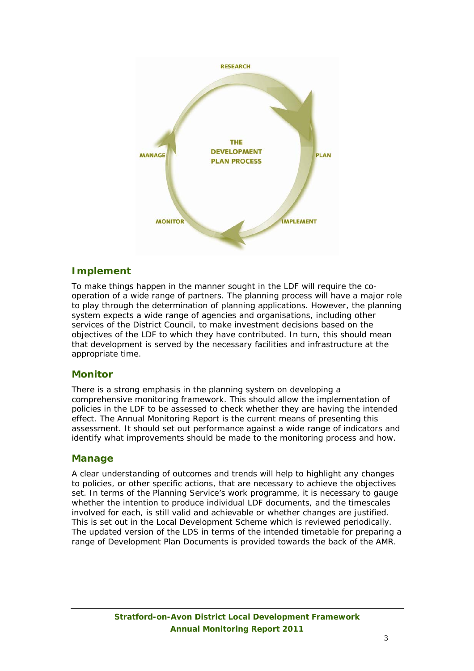

# **Implement**

To make things happen in the manner sought in the LDF will require the cooperation of a wide range of partners. The planning process will have a major role to play through the determination of planning applications. However, the planning system expects a wide range of agencies and organisations, including other services of the District Council, to make investment decisions based on the objectives of the LDF to which they have contributed. In turn, this should mean that development is served by the necessary facilities and infrastructure at the appropriate time.

## **Monitor**

There is a strong emphasis in the planning system on developing a comprehensive monitoring framework. This should allow the implementation of policies in the LDF to be assessed to check whether they are having the intended effect. The Annual Monitoring Report is the current means of presenting this assessment. It should set out performance against a wide range of indicators and identify what improvements should be made to the monitoring process and how.

## **Manage**

A clear understanding of outcomes and trends will help to highlight any changes to policies, or other specific actions, that are necessary to achieve the objectives set. In terms of the Planning Service's work programme, it is necessary to gauge whether the intention to produce individual LDF documents, and the timescales involved for each, is still valid and achievable or whether changes are justified. This is set out in the Local Development Scheme which is reviewed periodically. The updated version of the LDS in terms of the intended timetable for preparing a range of Development Plan Documents is provided towards the back of the AMR.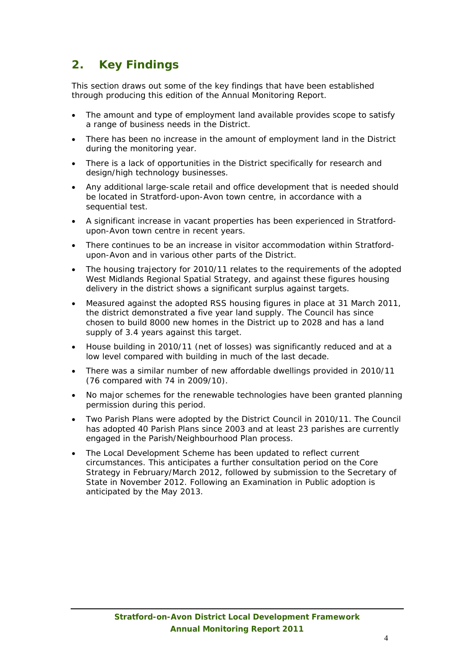# **2. Key Findings**

This section draws out some of the key findings that have been established through producing this edition of the Annual Monitoring Report.

- The amount and type of employment land available provides scope to satisfy a range of business needs in the District.
- There has been no increase in the amount of employment land in the District during the monitoring year.
- There is a lack of opportunities in the District specifically for research and design/high technology businesses.
- Any additional large-scale retail and office development that is needed should be located in Stratford-upon-Avon town centre, in accordance with a sequential test.
- A significant increase in vacant properties has been experienced in Stratfordupon-Avon town centre in recent years.
- There continues to be an increase in visitor accommodation within Stratfordupon-Avon and in various other parts of the District.
- The housing trajectory for 2010/11 relates to the requirements of the adopted West Midlands Regional Spatial Strategy, and against these figures housing delivery in the district shows a significant surplus against targets.
- Measured against the adopted RSS housing figures in place at 31 March 2011, the district demonstrated a five year land supply. The Council has since chosen to build 8000 new homes in the District up to 2028 and has a land supply of 3.4 years against this target.
- House building in 2010/11 (net of losses) was significantly reduced and at a low level compared with building in much of the last decade.
- There was a similar number of new affordable dwellings provided in 2010/11 (76 compared with 74 in 2009/10).
- No major schemes for the renewable technologies have been granted planning permission during this period.
- Two Parish Plans were adopted by the District Council in 2010/11. The Council has adopted 40 Parish Plans since 2003 and at least 23 parishes are currently engaged in the Parish/Neighbourhood Plan process.
- The Local Development Scheme has been updated to reflect current circumstances. This anticipates a further consultation period on the Core Strategy in February/March 2012, followed by submission to the Secretary of State in November 2012. Following an Examination in Public adoption is anticipated by the May 2013.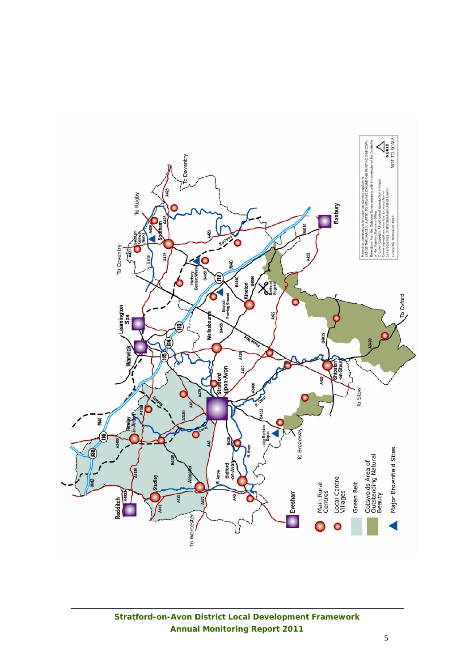

**Stratford-on-Avon District Local Development Framework Annual Monitoring Report 2011**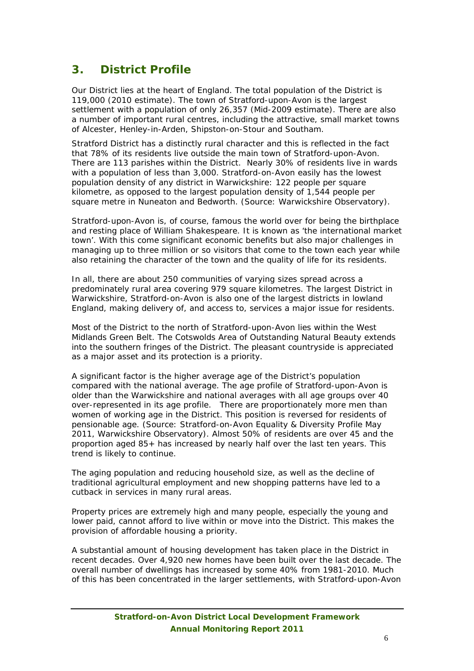# **3. District Profile**

Our District lies at the heart of England. The total population of the District is 119,000 (2010 estimate). The town of Stratford-upon-Avon is the largest settlement with a population of only 26,357 (Mid-2009 estimate). There are also a number of important rural centres, including the attractive, small market towns of Alcester, Henley-in-Arden, Shipston-on-Stour and Southam.

Stratford District has a distinctly rural character and this is reflected in the fact that 78% of its residents live outside the main town of Stratford-upon-Avon. There are 113 parishes within the District. Nearly 30% of residents live in wards with a population of less than 3,000. Stratford-on-Avon easily has the lowest population density of any district in Warwickshire: 122 people per square kilometre, as opposed to the largest population density of 1,544 people per square metre in Nuneaton and Bedworth. (Source: Warwickshire Observatory).

Stratford-upon-Avon is, of course, famous the world over for being the birthplace and resting place of William Shakespeare. It is known as 'the international market town'. With this come significant economic benefits but also major challenges in managing up to three million or so visitors that come to the town each year while also retaining the character of the town and the quality of life for its residents.

In all, there are about 250 communities of varying sizes spread across a predominately rural area covering 979 square kilometres. The largest District in Warwickshire, Stratford-on-Avon is also one of the largest districts in lowland England, making delivery of, and access to, services a major issue for residents.

Most of the District to the north of Stratford-upon-Avon lies within the West Midlands Green Belt. The Cotswolds Area of Outstanding Natural Beauty extends into the southern fringes of the District. The pleasant countryside is appreciated as a major asset and its protection is a priority.

A significant factor is the higher average age of the District's population compared with the national average. The age profile of Stratford-upon-Avon is older than the Warwickshire and national averages with all age groups over 40 over-represented in its age profile. There are proportionately more men than women of working age in the District. This position is reversed for residents of pensionable age. (Source: Stratford-on-Avon Equality & Diversity Profile May 2011, Warwickshire Observatory). Almost 50% of residents are over 45 and the proportion aged 85+ has increased by nearly half over the last ten years. This trend is likely to continue.

The aging population and reducing household size, as well as the decline of traditional agricultural employment and new shopping patterns have led to a cutback in services in many rural areas.

Property prices are extremely high and many people, especially the young and lower paid, cannot afford to live within or move into the District. This makes the provision of affordable housing a priority.

A substantial amount of housing development has taken place in the District in recent decades. Over 4,920 new homes have been built over the last decade. The overall number of dwellings has increased by some 40% from 1981-2010. Much of this has been concentrated in the larger settlements, with Stratford-upon-Avon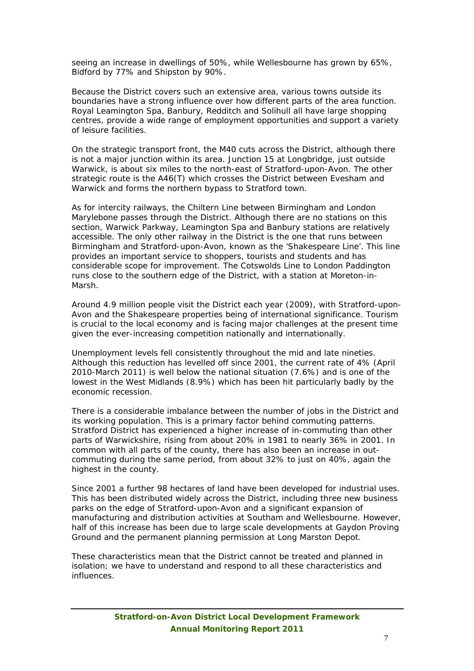seeing an increase in dwellings of 50%, while Wellesbourne has grown by 65%, Bidford by 77% and Shipston by 90%.

Because the District covers such an extensive area, various towns outside its boundaries have a strong influence over how different parts of the area function. Royal Leamington Spa, Banbury, Redditch and Solihull all have large shopping centres, provide a wide range of employment opportunities and support a variety of leisure facilities.

On the strategic transport front, the M40 cuts across the District, although there is not a major junction within its area. Junction 15 at Longbridge, just outside Warwick, is about six miles to the north-east of Stratford-upon-Avon. The other strategic route is the A46(T) which crosses the District between Evesham and Warwick and forms the northern bypass to Stratford town.

As for intercity railways, the Chiltern Line between Birmingham and London Marylebone passes through the District. Although there are no stations on this section, Warwick Parkway, Leamington Spa and Banbury stations are relatively accessible. The only other railway in the District is the one that runs between Birmingham and Stratford-upon-Avon, known as the 'Shakespeare Line'. This line provides an important service to shoppers, tourists and students and has considerable scope for improvement. The Cotswolds Line to London Paddington runs close to the southern edge of the District, with a station at Moreton-in-Marsh.

Around 4.9 million people visit the District each year (2009), with Stratford-upon-Avon and the Shakespeare properties being of international significance. Tourism is crucial to the local economy and is facing major challenges at the present time given the ever-increasing competition nationally and internationally.

Unemployment levels fell consistently throughout the mid and late nineties. Although this reduction has levelled off since 2001, the current rate of 4% (April 2010-March 2011) is well below the national situation (7.6%) and is one of the lowest in the West Midlands (8.9%) which has been hit particularly badly by the economic recession.

There is a considerable imbalance between the number of jobs in the District and its working population. This is a primary factor behind commuting patterns. Stratford District has experienced a higher increase of in-commuting than other parts of Warwickshire, rising from about 20% in 1981 to nearly 36% in 2001. In common with all parts of the county, there has also been an increase in outcommuting during the same period, from about 32% to just on 40%, again the highest in the county.

Since 2001 a further 98 hectares of land have been developed for industrial uses. This has been distributed widely across the District, including three new business parks on the edge of Stratford-upon-Avon and a significant expansion of manufacturing and distribution activities at Southam and Wellesbourne. However, half of this increase has been due to large scale developments at Gaydon Proving Ground and the permanent planning permission at Long Marston Depot.

These characteristics mean that the District cannot be treated and planned in isolation; we have to understand and respond to all these characteristics and influences.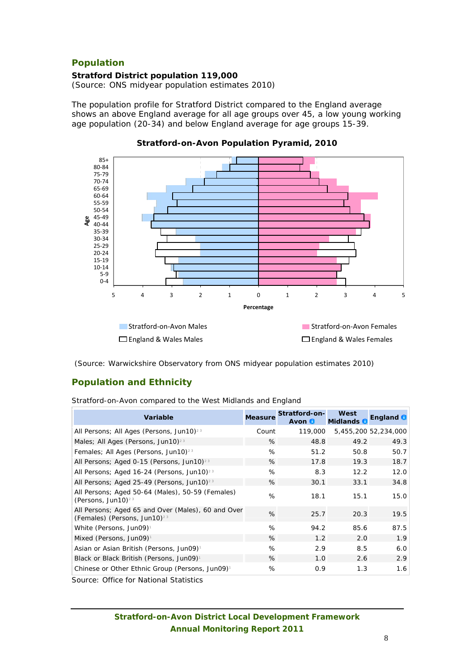#### **Population**

#### **Stratford District population 119,000**

*(Source: ONS midyear population estimates 2010)*

The population profile for Stratford District compared to the England average shows an above England average for all age groups over 45, a low young working age population (20-34) and below England average for age groups 15-39.



**Stratford-on-Avon Population Pyramid, 2010** 

*(Source: Warwickshire Observatory from ONS midyear population estimates 2010)*

#### **Population and Ethnicity**

Stratford-on-Avon compared to the West Midlands and England

| <b>Variable</b>                                                                                | <b>Measure</b> | Stratford-on-<br>Avon <b>O</b> | West<br><b>Midlands</b> | England <b>O</b>     |
|------------------------------------------------------------------------------------------------|----------------|--------------------------------|-------------------------|----------------------|
| All Persons; All Ages (Persons, Jun10) <sup>23</sup>                                           | Count          | 119,000                        |                         | 5,455,200 52,234,000 |
| Males; All Ages (Persons, Jun10) <sup>23</sup>                                                 | %              | 48.8                           | 49.2                    | 49.3                 |
| Females; All Ages (Persons, Jun10) <sup>23</sup>                                               | %              | 51.2                           | 50.8                    | 50.7                 |
| All Persons; Aged 0-15 (Persons, Jun10) <sup>23</sup>                                          | %              | 17.8                           | 19.3                    | 18.7                 |
| All Persons: Aged 16-24 (Persons, Jun10) <sup>23</sup>                                         | %              | 8.3                            | 12.2                    | 12.0                 |
| All Persons; Aged 25-49 (Persons, Jun10) <sup>23</sup>                                         | %              | 30.1                           | 33.1                    | 34.8                 |
| All Persons; Aged 50-64 (Males), 50-59 (Females)<br>(Persons, Jun10) <sup>23</sup>             | %              | 18.1                           | 15.1                    | 15.0                 |
| All Persons; Aged 65 and Over (Males), 60 and Over<br>(Females) (Persons, Jun10) <sup>23</sup> | %              | 25.7                           | 20.3                    | 19.5                 |
| White (Persons, Jun09) <sup>1</sup>                                                            | %              | 94.2                           | 85.6                    | 87.5                 |
| Mixed (Persons, Jun09) <sup>1</sup>                                                            | %              | 1.2                            | 2.0                     | 1.9                  |
| Asian or Asian British (Persons, Jun09) <sup>1</sup>                                           | %              | 2.9                            | 8.5                     | 6.0                  |
| Black or Black British (Persons, Jun09) <sup>1</sup>                                           | %              | 1.0                            | 2.6                     | 2.9                  |
| Chinese or Other Ethnic Group (Persons, Jun09) <sup>1</sup>                                    | %              | 0.9                            | 1.3                     | 1.6                  |
| Source: Office for National Statistics                                                         |                |                                |                         |                      |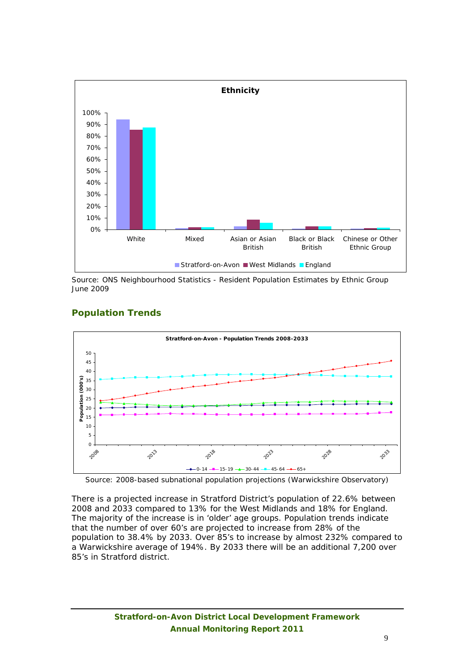

*Source: ONS Neighbourhood Statistics - Resident Population Estimates by Ethnic Group June 2009*

# **Population Trends**



*Source: 2008-based subnational population projections (Warwickshire Observatory)* 

There is a projected increase in Stratford District's population of 22.6% between 2008 and 2033 compared to 13% for the West Midlands and 18% for England. The majority of the increase is in 'older' age groups. Population trends indicate that the number of over 60's are projected to increase from 28% of the population to 38.4% by 2033. Over 85's to increase by almost 232% compared to a Warwickshire average of 194%. By 2033 there will be an additional 7,200 over 85's in Stratford district.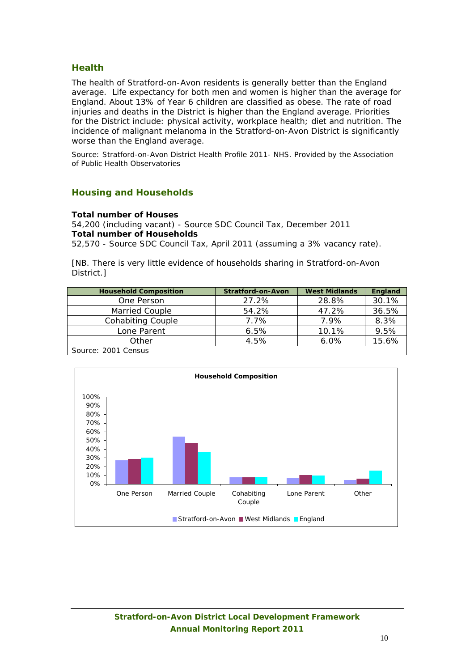#### **Health**

The health of Stratford-on-Avon residents is generally better than the England average. Life expectancy for both men and women is higher than the average for England. About 13% of Year 6 children are classified as obese. The rate of road injuries and deaths in the District is higher than the England average. Priorities for the District include: physical activity, workplace health; diet and nutrition. The incidence of malignant melanoma in the Stratford-on-Avon District is significantly worse than the England average.

*Source: Stratford-on-Avon District Health Profile 2011- NHS. Provided by the Association of Public Health Observatories*

#### **Housing and Households**

#### **Total number of Houses**

54,200 (including vacant) - Source SDC Council Tax, December 2011 **Total number of Households** 

52,570 - Source SDC Council Tax, April 2011 (assuming a 3% vacancy rate).

[NB. There is very little evidence of households sharing in Stratford-on-Avon District.]

| <b>Household Composition</b> | <b>Stratford-on-Avon</b> | <b>West Midlands</b> | England |
|------------------------------|--------------------------|----------------------|---------|
| One Person                   | 27.2%                    | 28.8%                | 30.1%   |
| Married Couple               | 54.2%                    | 47.2%                | 36.5%   |
| <b>Cohabiting Couple</b>     | 7.7%                     | 7.9%                 | 8.3%    |
| Lone Parent                  | 6.5%                     | 10.1%                | 9.5%    |
| Other                        | 4.5%                     | 6.0%                 | 15.6%   |
| Source: 2001 Census          |                          |                      |         |

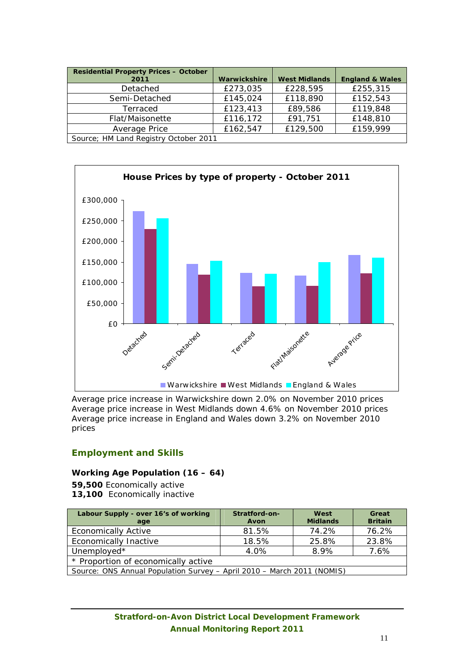| <b>Residential Property Prices - October</b> |              |                      |                            |
|----------------------------------------------|--------------|----------------------|----------------------------|
| 2011                                         | Warwickshire | <b>West Midlands</b> | <b>England &amp; Wales</b> |
| Detached                                     | £273,035     | £228,595             | £255,315                   |
| Semi-Detached                                | £145,024     | £118,890             | £152,543                   |
| Terraced                                     | £123,413     | £89,586              | £119,848                   |
| Flat/Maisonette                              | £116,172     | £91,751              | £148,810                   |
| Average Price                                | £162,547     | £129,500             | £159,999                   |
| Source; HM Land Registry October 2011        |              |                      |                            |



Average price increase in Warwickshire down 2.0% on November 2010 prices Average price increase in West Midlands down 4.6% on November 2010 prices Average price increase in England and Wales down 3.2% on November 2010 prices

#### **Employment and Skills**

#### **Working Age Population (16 – 64)**

**59,500** Economically active **13,100** Economically inactive

| Labour Supply - over 16's of working<br>age                            | Stratford-on-<br>Avon | West<br><b>Midlands</b> | Great<br><b>Britain</b> |
|------------------------------------------------------------------------|-----------------------|-------------------------|-------------------------|
| <b>Economically Active</b>                                             | 81.5%                 | 74.2%                   | 76.2%                   |
| Economically Inactive                                                  | 18.5%                 | 25.8%                   | 23.8%                   |
| Unemployed*                                                            | 4.0%                  | 8.9%                    | 7.6%                    |
| * Proportion of economically active                                    |                       |                         |                         |
| Source: ONS Annual Population Survey - April 2010 - March 2011 (NOMIS) |                       |                         |                         |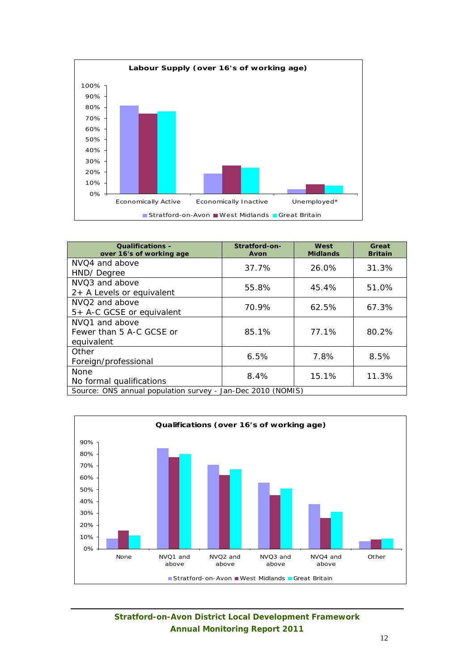

| Qualifications -<br>over 16's of working age                | Stratford-on-<br>Avon | West<br><b>Midlands</b> | Great<br><b>Britain</b> |
|-------------------------------------------------------------|-----------------------|-------------------------|-------------------------|
| NVO <sub>4</sub> and above                                  | 37.7%                 | 26.0%                   | 31.3%                   |
| HND/Degree                                                  |                       |                         |                         |
| NVO <sub>3</sub> and above                                  | 55.8%                 | 45.4%                   | 51.0%                   |
| 2+ A Levels or equivalent                                   |                       |                         |                         |
| NVO <sub>2</sub> and above                                  |                       |                         |                         |
| 5+ A-C GCSE or equivalent                                   | 70.9%                 | 62.5%                   | 67.3%                   |
| NVO <sub>1</sub> and above                                  |                       |                         |                         |
| Fewer than 5 A-C GCSE or                                    | 85.1%                 | 77.1%                   | 80.2%                   |
| equivalent                                                  |                       |                         |                         |
| Other                                                       | 6.5%                  | 7.8%                    | 8.5%                    |
| Foreign/professional                                        |                       |                         |                         |
| <b>None</b>                                                 | 8.4%                  | 15.1%                   | 11.3%                   |
| No formal qualifications                                    |                       |                         |                         |
| Source: ONS annual population survey - Jan-Dec 2010 (NOMIS) |                       |                         |                         |

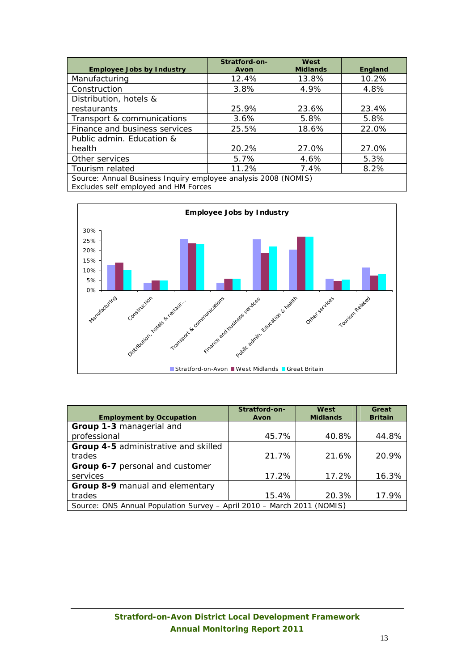| <b>Employee Jobs by Industry</b>                               | Stratford-on-<br>Avon | West<br><b>Midlands</b> | England |
|----------------------------------------------------------------|-----------------------|-------------------------|---------|
| Manufacturing                                                  | 12.4%                 | 13.8%                   | 10.2%   |
| Construction                                                   | 3.8%                  | 4.9%                    | 4.8%    |
| Distribution, hotels &                                         |                       |                         |         |
| restaurants                                                    | 25.9%                 | 23.6%                   | 23.4%   |
| Transport & communications                                     | 3.6%                  | 5.8%                    | 5.8%    |
| Finance and business services                                  | 25.5%                 | 18.6%                   | 22.0%   |
| Public admin. Education &                                      |                       |                         |         |
| health                                                         | 20.2%                 | 27.0%                   | 27.0%   |
| Other services                                                 | $5.7\%$               | 4.6%                    | 5.3%    |
| Tourism related                                                | 11.2%                 | 7.4%                    | 8.2%    |
| Source: Annual Business Inquiry employee analysis 2008 (NOMIS) |                       |                         |         |

*Excludes self employed and HM Forces*



|                                                                        | Stratford-on- | West            | Great          |
|------------------------------------------------------------------------|---------------|-----------------|----------------|
| <b>Employment by Occupation</b>                                        | Avon          | <b>Midlands</b> | <b>Britain</b> |
| Group 1-3 managerial and                                               |               |                 |                |
| professional                                                           | 45.7%         | 40.8%           | 44.8%          |
| Group 4-5 administrative and skilled                                   |               |                 |                |
| trades                                                                 | 21.7%         | 21.6%           | 20.9%          |
| Group 6-7 personal and customer                                        |               |                 |                |
| services                                                               | 17.2%         | 17.2%           | 16.3%          |
| Group 8-9 manual and elementary                                        |               |                 |                |
| trades                                                                 | 15.4%         | 20.3%           | 17.9%          |
| Source: ONS Annual Population Survey - April 2010 - March 2011 (NOMIS) |               |                 |                |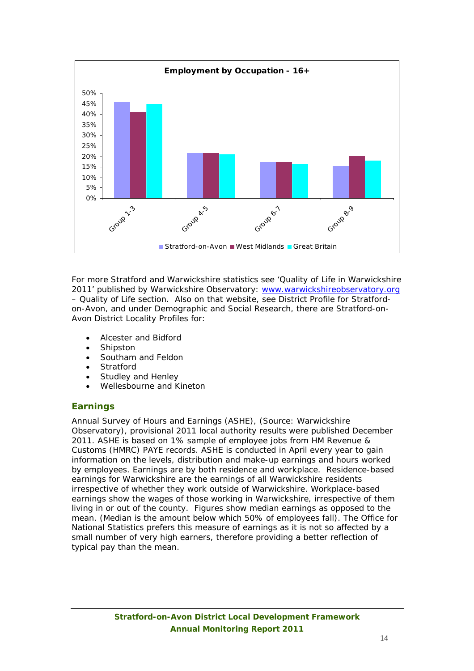

For more Stratford and Warwickshire statistics see 'Quality of Life in Warwickshire 2011' published by Warwickshire Observatory: www.warwickshireobservatory.org – Quality of Life section. Also on that website, see District Profile for Stratfordon-Avon, and under Demographic and Social Research, there are Stratford-on-Avon District Locality Profiles for:

- Alcester and Bidford
- **Shipston**
- Southam and Feldon
- **Stratford**
- Studley and Henley
- Wellesbourne and Kineton

#### **Earnings**

Annual Survey of Hours and Earnings (ASHE), (Source: Warwickshire Observatory), provisional 2011 local authority results were published December 2011. ASHE is based on 1% sample of employee jobs from HM Revenue & Customs (HMRC) PAYE records. ASHE is conducted in April every year to gain information on the levels, distribution and make-up earnings and hours worked by employees. Earnings are by both residence and workplace. Residence-based earnings for Warwickshire are the earnings of all Warwickshire residents irrespective of whether they work outside of Warwickshire. Workplace-based earnings show the wages of those working in Warwickshire, irrespective of them living in or out of the county. Figures show median earnings as opposed to the mean. (Median is the amount below which 50% of employees fall). The Office for National Statistics prefers this measure of earnings as it is not so affected by a small number of very high earners, therefore providing a better reflection of typical pay than the mean.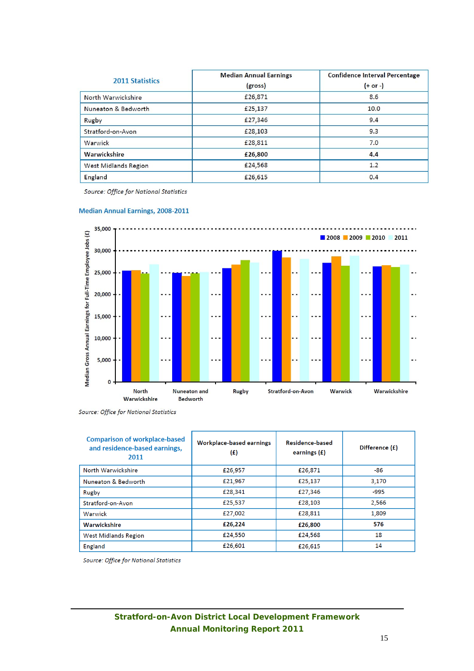| <b>2011 Statistics</b>      | <b>Median Annual Earnings</b><br>(gross) | <b>Confidence Interval Percentage</b><br>$(+ or -)$ |
|-----------------------------|------------------------------------------|-----------------------------------------------------|
| North Warwickshire          | £26,871                                  | 8.6                                                 |
| Nuneaton & Bedworth         | £25,137                                  | 10.0                                                |
| <b>Rugby</b>                | £27,346                                  | 9.4                                                 |
| Stratford-on-Avon           | £28,103                                  | 9.3                                                 |
| Warwick                     | £28,811                                  | 7.0                                                 |
| Warwickshire                | £26,800                                  | 4.4                                                 |
| <b>West Midlands Region</b> | £24,568                                  | 1.2                                                 |
| <b>England</b>              | £26,615                                  | 0.4                                                 |

Source: Office for National Statistics





Source: Office for National Statistics

| <b>Comparison of workplace-based</b><br>and residence-based earnings,<br>2011 | Workplace-based earnings<br>$\left( f\right)$ | Residence-based<br>earnings $(f)$ | Difference (£) |
|-------------------------------------------------------------------------------|-----------------------------------------------|-----------------------------------|----------------|
| North Warwickshire                                                            | £26,957                                       | £26,871                           | -86            |
| Nuneaton & Bedworth                                                           | £21,967                                       | £25,137                           | 3.170          |
| <b>Rugby</b>                                                                  | £28,341                                       | £27,346                           | $-995$         |
| Stratford-on-Avon                                                             | £25,537                                       | £28,103                           | 2,566          |
| Warwick                                                                       | £27,002                                       | £28,811                           | 1,809          |
| <b>Warwickshire</b>                                                           | £26,224                                       | £26,800                           | 576            |
| <b>West Midlands Region</b>                                                   | £24,550                                       | £24,568                           | 18             |
| <b>England</b>                                                                | £26,601                                       | £26,615                           | 14             |

Source: Office for National Statistics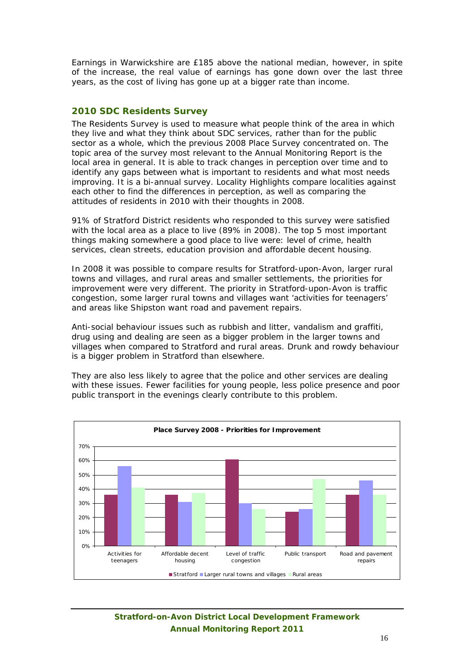Earnings in Warwickshire are £185 above the national median, however, in spite of the increase, the real value of earnings has gone down over the last three years, as the cost of living has gone up at a bigger rate than income.

#### **2010 SDC Residents Survey**

The Residents Survey is used to measure what people think of the area in which they live and what they think about SDC services, rather than for the public sector as a whole, which the previous 2008 Place Survey concentrated on. The topic area of the survey most relevant to the Annual Monitoring Report is the local area in general. It is able to track changes in perception over time and to identify any gaps between what is important to residents and what most needs improving. It is a bi-annual survey. Locality Highlights compare localities against each other to find the differences in perception, as well as comparing the attitudes of residents in 2010 with their thoughts in 2008.

91% of Stratford District residents who responded to this survey were satisfied with the local area as a place to live (89% in 2008). The top 5 most important things making somewhere a good place to live were: level of crime, health services, clean streets, education provision and affordable decent housing.

In 2008 it was possible to compare results for Stratford-upon-Avon, larger rural towns and villages, and rural areas and smaller settlements, the priorities for improvement were very different. The priority in Stratford-upon-Avon is traffic congestion, some larger rural towns and villages want 'activities for teenagers' and areas like Shipston want road and pavement repairs.

Anti-social behaviour issues such as rubbish and litter, vandalism and graffiti, drug using and dealing are seen as a bigger problem in the larger towns and villages when compared to Stratford and rural areas. Drunk and rowdy behaviour is a bigger problem in Stratford than elsewhere.

They are also less likely to agree that the police and other services are dealing with these issues. Fewer facilities for young people, less police presence and poor public transport in the evenings clearly contribute to this problem.



### **Stratford-on-Avon District Local Development Framework Annual Monitoring Report 2011**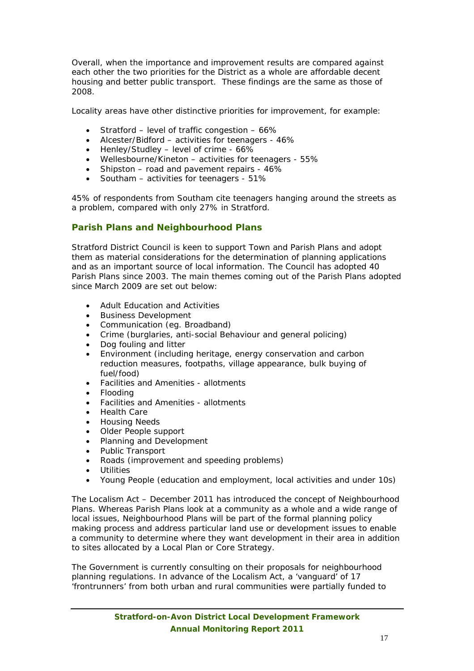Overall, when the importance and improvement results are compared against each other the two priorities for the District as a whole are affordable decent housing and better public transport. These findings are the same as those of 2008.

Locality areas have other distinctive priorities for improvement, for example:

- Stratford level of traffic congestion 66%
- Alcester/Bidford activities for teenagers 46%
- Henley/Studley level of crime 66%
- Wellesbourne/Kineton activities for teenagers 55%
- Shipston road and pavement repairs  $46\%$
- Southam activities for teenagers 51%

45% of respondents from Southam cite teenagers hanging around the streets as a problem, compared with only 27% in Stratford.

### **Parish Plans and Neighbourhood Plans**

Stratford District Council is keen to support Town and Parish Plans and adopt them as material considerations for the determination of planning applications and as an important source of local information. The Council has adopted 40 Parish Plans since 2003. The main themes coming out of the Parish Plans adopted since March 2009 are set out below:

- Adult Education and Activities
- Business Development
- Communication (eg. Broadband)
- Crime (burglaries, anti-social Behaviour and general policing)
- Dog fouling and litter
- Environment (including heritage, energy conservation and carbon reduction measures, footpaths, village appearance, bulk buying of fuel/food)
- Facilities and Amenities allotments
- Flooding
- Facilities and Amenities allotments
- Health Care
- Housing Needs
- Older People support
- Planning and Development
- Public Transport
- Roads (improvement and speeding problems)
- Utilities
- Young People (education and employment, local activities and under 10s)

The Localism Act – December 2011 has introduced the concept of Neighbourhood Plans. Whereas Parish Plans look at a community as a whole and a wide range of local issues, Neighbourhood Plans will be part of the formal planning policy making process and address particular land use or development issues to enable a community to determine where they want development in their area in addition to sites allocated by a Local Plan or Core Strategy.

The Government is currently consulting on their proposals for neighbourhood planning regulations. In advance of the Localism Act, a 'vanguard' of 17 'frontrunners' from both urban and rural communities were partially funded to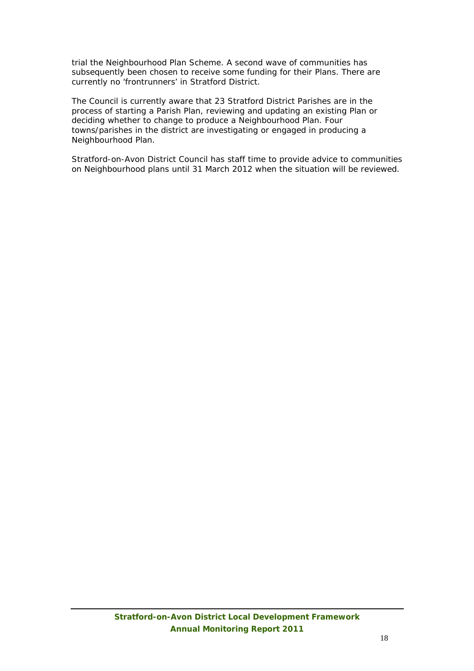trial the Neighbourhood Plan Scheme. A second wave of communities has subsequently been chosen to receive some funding for their Plans. There are currently no 'frontrunners' in Stratford District.

The Council is currently aware that 23 Stratford District Parishes are in the process of starting a Parish Plan, reviewing and updating an existing Plan or deciding whether to change to produce a Neighbourhood Plan. Four towns/parishes in the district are investigating or engaged in producing a Neighbourhood Plan.

Stratford-on-Avon District Council has staff time to provide advice to communities on Neighbourhood plans until 31 March 2012 when the situation will be reviewed.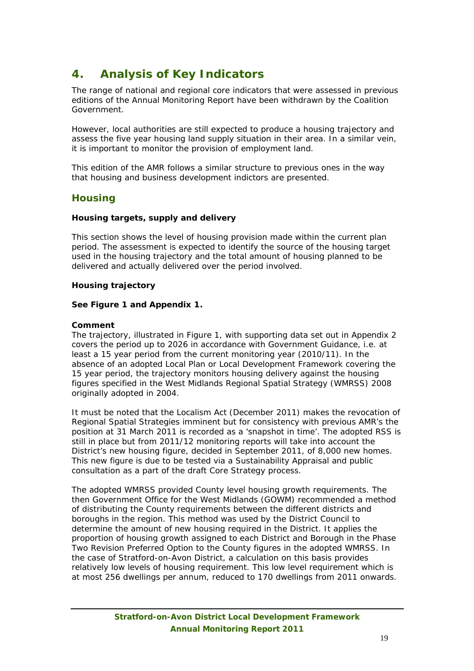# **4. Analysis of Key Indicators**

The range of national and regional core indicators that were assessed in previous editions of the Annual Monitoring Report have been withdrawn by the Coalition Government.

However, local authorities are still expected to produce a housing trajectory and assess the five year housing land supply situation in their area. In a similar vein, it is important to monitor the provision of employment land.

This edition of the AMR follows a similar structure to previous ones in the way that housing and business development indictors are presented.

## **Housing**

#### **Housing targets, supply and delivery**

This section shows the level of housing provision made within the current plan period. The assessment is expected to identify the source of the housing target used in the housing trajectory and the total amount of housing planned to be delivered and actually delivered over the period involved.

#### **Housing trajectory**

#### **See Figure 1 and Appendix 1.**

#### **Comment**

The trajectory, illustrated in Figure 1, with supporting data set out in Appendix 2 covers the period up to 2026 in accordance with Government Guidance, i.e. at least a 15 year period from the current monitoring year (2010/11). In the absence of an adopted Local Plan or Local Development Framework covering the 15 year period, the trajectory monitors housing delivery against the housing figures specified in the West Midlands Regional Spatial Strategy (WMRSS) 2008 originally adopted in 2004.

It must be noted that the Localism Act (December 2011) makes the revocation of Regional Spatial Strategies imminent but for consistency with previous AMR's the position at 31 March 2011 is recorded as a 'snapshot in time'. The adopted RSS is still in place but from 2011/12 monitoring reports will take into account the District's new housing figure, decided in September 2011, of 8,000 new homes. This new figure is due to be tested via a Sustainability Appraisal and public consultation as a part of the draft Core Strategy process.

The adopted WMRSS provided County level housing growth requirements. The then Government Office for the West Midlands (GOWM) recommended a method of distributing the County requirements between the different districts and boroughs in the region. This method was used by the District Council to determine the amount of new housing required in the District. It applies the proportion of housing growth assigned to each District and Borough in the Phase Two Revision Preferred Option to the County figures in the adopted WMRSS. In the case of Stratford-on-Avon District, a calculation on this basis provides relatively low levels of housing requirement. This low level requirement which is at most 256 dwellings per annum, reduced to 170 dwellings from 2011 onwards.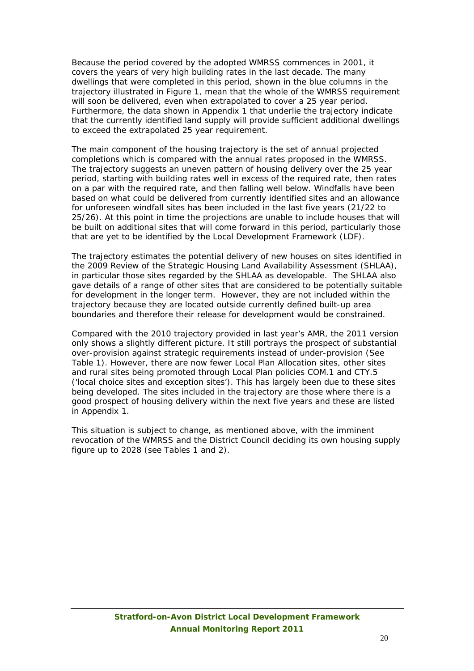Because the period covered by the adopted WMRSS commences in 2001, it covers the years of very high building rates in the last decade. The many dwellings that were completed in this period, shown in the blue columns in the trajectory illustrated in Figure 1, mean that the whole of the WMRSS requirement will soon be delivered, even when extrapolated to cover a 25 year period. Furthermore, the data shown in Appendix 1 that underlie the trajectory indicate that the currently identified land supply will provide sufficient additional dwellings to exceed the extrapolated 25 year requirement.

The main component of the housing trajectory is the set of annual projected completions which is compared with the annual rates proposed in the WMRSS. The trajectory suggests an uneven pattern of housing delivery over the 25 year period, starting with building rates well in excess of the required rate, then rates on a par with the required rate, and then falling well below. Windfalls have been based on what could be delivered from currently identified sites and an allowance for unforeseen windfall sites has been included in the last five years (21/22 to 25/26). At this point in time the projections are unable to include houses that will be built on additional sites that will come forward in this period, particularly those that are yet to be identified by the Local Development Framework (LDF).

The trajectory estimates the potential delivery of new houses on sites identified in the 2009 Review of the Strategic Housing Land Availability Assessment (SHLAA), in particular those sites regarded by the SHLAA as developable. The SHLAA also gave details of a range of other sites that are considered to be potentially suitable for development in the longer term. However, they are not included within the trajectory because they are located outside currently defined built-up area boundaries and therefore their release for development would be constrained.

Compared with the 2010 trajectory provided in last year's AMR, the 2011 version only shows a slightly different picture. It still portrays the prospect of substantial over-provision against strategic requirements instead of under-provision (See Table 1). However, there are now fewer Local Plan Allocation sites, other sites and rural sites being promoted through Local Plan policies COM.1 and CTY.5 ('local choice sites and exception sites'). This has largely been due to these sites being developed. The sites included in the trajectory are those where there is a good prospect of housing delivery within the next five years and these are listed in Appendix 1.

This situation is subject to change, as mentioned above, with the imminent revocation of the WMRSS and the District Council deciding its own housing supply figure up to 2028 (see Tables 1 and 2).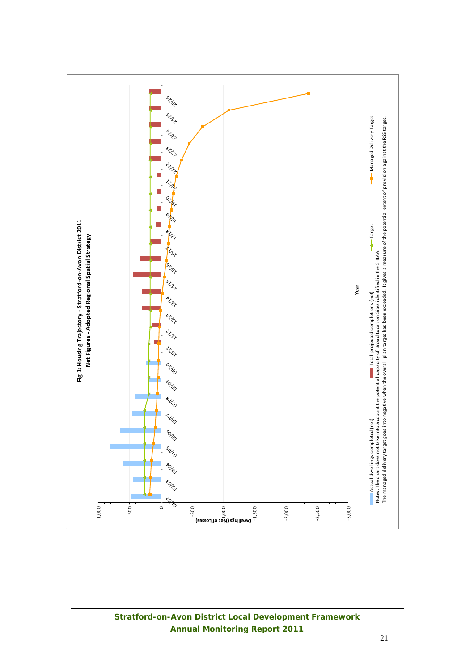

**Stratford-on-Avon District Local Development Framework Annual Monitoring Report 2011**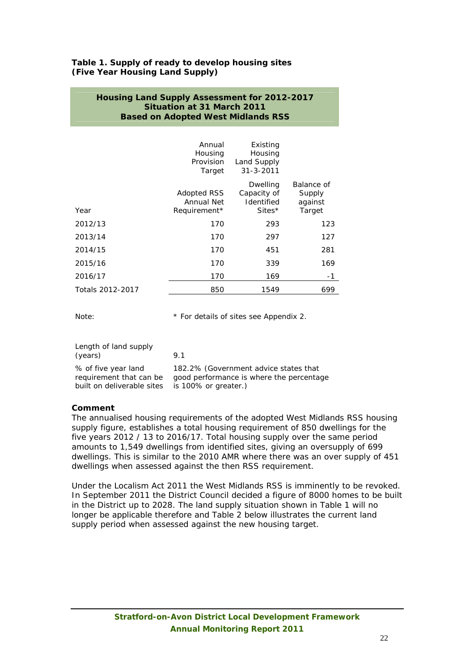#### **Table 1. Supply of ready to develop housing sites (Five Year Housing Land Supply)**

#### **Housing Land Supply Assessment for 2012-2017 Situation at 31 March 2011 Based on Adopted West Midlands RSS**

|                  | Annual<br>Housing<br>Provision<br>Target         | Existing<br>Housing<br>Land Supply<br>$31 - 3 - 2011$             |                                           |
|------------------|--------------------------------------------------|-------------------------------------------------------------------|-------------------------------------------|
| Year             | <b>Adopted RSS</b><br>Annual Net<br>Requirement* | Dwelling<br>Capacity of<br>Identified<br>$\mathsf{Sites}^{\star}$ | Balance of<br>Supply<br>against<br>Target |
| 2012/13          | 170                                              | 293                                                               | 123                                       |
| 2013/14          | 170                                              | 297                                                               | 127                                       |
| 2014/15          | 170                                              | 451                                                               | 281                                       |
| 2015/16          | 170                                              | 339                                                               | 169                                       |
| 2016/17          | 170                                              | 169                                                               | -1                                        |
| Totals 2012-2017 | 850                                              | 1549                                                              | 699                                       |

Note:  $*$  For details of sites see Appendix 2.

| Length of land supply<br>(years) | 91                                       |
|----------------------------------|------------------------------------------|
| % of five year land              | 182.2% (Government advice states that    |
| requirement that can be          | good performance is where the percentage |
| built on deliverable sites       | is 100% or greater.)                     |

#### **Comment**

The annualised housing requirements of the adopted West Midlands RSS housing supply figure, establishes a total housing requirement of 850 dwellings for the five years 2012 / 13 to 2016/17. Total housing supply over the same period amounts to 1,549 dwellings from identified sites, giving an oversupply of 699 dwellings. This is similar to the 2010 AMR where there was an over supply of 451 dwellings when assessed against the then RSS requirement.

Under the Localism Act 2011 the West Midlands RSS is imminently to be revoked. In September 2011 the District Council decided a figure of 8000 homes to be built in the District up to 2028. The land supply situation shown in Table 1 will no longer be applicable therefore and Table 2 below illustrates the current land supply period when assessed against the new housing target.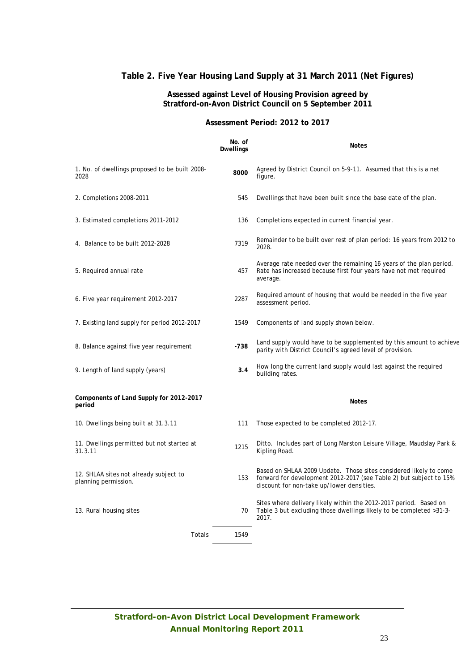#### **Table 2. Five Year Housing Land Supply at 31 March 2011 (Net Figures)**

#### **Assessed against Level of Housing Provision agreed by Stratford-on-Avon District Council on 5 September 2011**

#### **Assessment Period: 2012 to 2017**

|                                                                | No. of<br><b>Dwellings</b> | <b>Notes</b>                                                                                                                                                                         |
|----------------------------------------------------------------|----------------------------|--------------------------------------------------------------------------------------------------------------------------------------------------------------------------------------|
| 1. No. of dwellings proposed to be built 2008-<br>2028         | 8000                       | Agreed by District Council on 5-9-11. Assumed that this is a net<br>figure.                                                                                                          |
| 2. Completions 2008-2011                                       | 545                        | Dwellings that have been built since the base date of the plan.                                                                                                                      |
| 3. Estimated completions 2011-2012                             | 136                        | Completions expected in current financial year.                                                                                                                                      |
| 4. Balance to be built 2012-2028                               | 7319                       | Remainder to be built over rest of plan period: 16 years from 2012 to<br>2028.                                                                                                       |
| 5. Required annual rate                                        | 457                        | Average rate needed over the remaining 16 years of the plan period.<br>Rate has increased because first four years have not met required<br>average.                                 |
| 6. Five year requirement 2012-2017                             | 2287                       | Required amount of housing that would be needed in the five year<br>assessment period.                                                                                               |
| 7. Existing land supply for period 2012-2017                   | 1549                       | Components of land supply shown below.                                                                                                                                               |
| 8. Balance against five year requirement                       | $-738$                     | Land supply would have to be supplemented by this amount to achieve<br>parity with District Council's agreed level of provision.                                                     |
| 9. Length of land supply (years)                               | 3.4                        | How long the current land supply would last against the required<br>building rates.                                                                                                  |
| Components of Land Supply for 2012-2017<br>period              |                            | <b>Notes</b>                                                                                                                                                                         |
| 10. Dwellings being built at 31.3.11                           | 111                        | Those expected to be completed 2012-17.                                                                                                                                              |
| 11. Dwellings permitted but not started at<br>31.3.11          | 1215                       | Ditto. Includes part of Long Marston Leisure Village, Maudslay Park &<br>Kipling Road.                                                                                               |
| 12. SHLAA sites not already subject to<br>planning permission. | 153                        | Based on SHLAA 2009 Update. Those sites considered likely to come<br>forward for development 2012-2017 (see Table 2) but subject to 15%<br>discount for non-take up/lower densities. |
| 13. Rural housing sites                                        | 70                         | Sites where delivery likely within the 2012-2017 period. Based on<br>Table 3 but excluding those dwellings likely to be completed > 31-3-<br>2017.                                   |
| Totals                                                         | 1549                       |                                                                                                                                                                                      |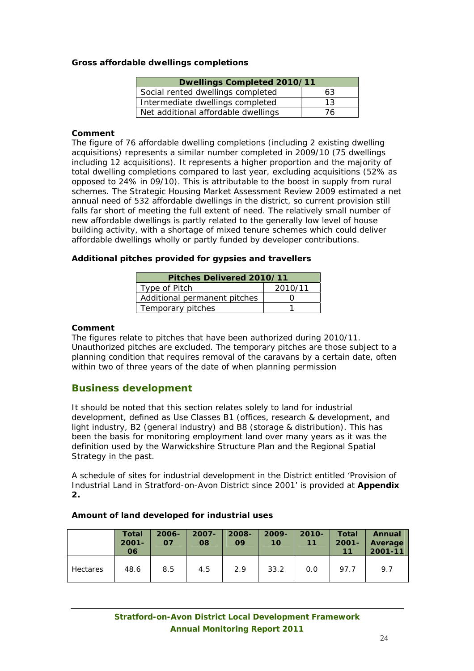#### **Gross affordable dwellings completions**

| <b>Dwellings Completed 2010/11</b>  |    |  |  |  |  |  |  |
|-------------------------------------|----|--|--|--|--|--|--|
| Social rented dwellings completed   | 63 |  |  |  |  |  |  |
| Intermediate dwellings completed    | 13 |  |  |  |  |  |  |
| Net additional affordable dwellings | ٬Α |  |  |  |  |  |  |

#### **Comment**

The figure of 76 affordable dwelling completions (including 2 existing dwelling acquisitions) represents a similar number completed in 2009/10 (75 dwellings including 12 acquisitions). It represents a higher proportion and the majority of total dwelling completions compared to last year, excluding acquisitions (52% as opposed to 24% in 09/10). This is attributable to the boost in supply from rural schemes. The Strategic Housing Market Assessment Review 2009 estimated a net annual need of 532 affordable dwellings in the district, so current provision still falls far short of meeting the full extent of need. The relatively small number of new affordable dwellings is partly related to the generally low level of house building activity, with a shortage of mixed tenure schemes which could deliver affordable dwellings wholly or partly funded by developer contributions.

#### **Additional pitches provided for gypsies and travellers**

| Pitches Delivered 2010/11    |         |  |  |  |  |  |  |
|------------------------------|---------|--|--|--|--|--|--|
| Type of Pitch                | 2010/11 |  |  |  |  |  |  |
| Additional permanent pitches |         |  |  |  |  |  |  |
| Temporary pitches            |         |  |  |  |  |  |  |

#### **Comment**

The figures relate to pitches that have been authorized during 2010/11. Unauthorized pitches are excluded. The temporary pitches are those subject to a planning condition that requires removal of the caravans by a certain date, often within two of three years of the date of when planning permission

## **Business development**

It should be noted that this section relates solely to land for industrial development, defined as Use Classes B1 (offices, research & development, and light industry, B2 (general industry) and B8 (storage & distribution). This has been the basis for monitoring employment land over many years as it was the definition used by the Warwickshire Structure Plan and the Regional Spatial Strategy in the past.

A schedule of sites for industrial development in the District entitled 'Provision of Industrial Land in Stratford-on-Avon District since 2001' is provided at **Appendix 2.** 

#### **Amount of land developed for industrial uses**

|          | Total<br>$2001 -$<br>06 | 2006-<br>07 | $2007 -$<br>08 | 2008-<br>09 | $2009 -$<br>10 | $2010 -$<br>11 | <b>Total</b><br>$2001 -$<br>11 | Annual<br>Average<br>2001-11 |
|----------|-------------------------|-------------|----------------|-------------|----------------|----------------|--------------------------------|------------------------------|
| Hectares | 48.6                    | 8.5         | 4.5            | 2.9         | 33.2           | 0.0            | 97.7                           | 9.7                          |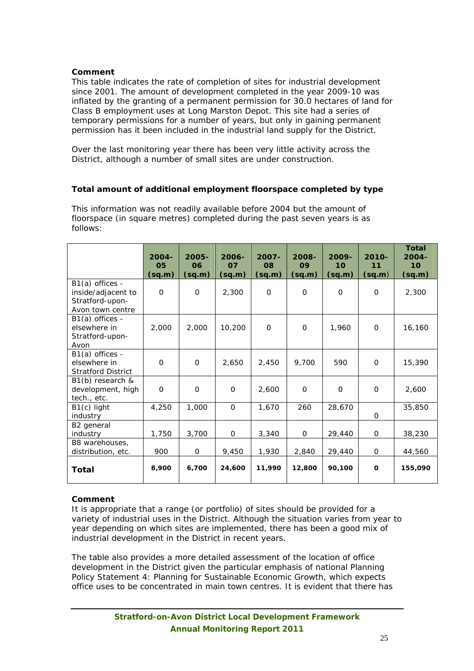#### **Comment**

This table indicates the rate of completion of sites for industrial development since 2001. The amount of development completed in the year 2009-10 was inflated by the granting of a permanent permission for 30.0 hectares of land for Class B employment uses at Long Marston Depot. This site had a series of temporary permissions for a number of years, but only in gaining permanent permission has it been included in the industrial land supply for the District.

Over the last monitoring year there has been very little activity across the District, although a number of small sites are under construction.

#### **Total amount of additional employment floorspace completed by type**

This information was not readily available before 2004 but the amount of floorspace (in square metres) completed during the past seven years is as follows:

|                                                                              | $2004 -$<br>05<br>(sq.m) | $2005 -$<br>06<br>(sq.m) | 2006-<br>07<br>(sq.m) | $2007 -$<br>08<br>(sq.m) | 2008-<br>09<br>(sq.m) | 2009-<br>10<br>(sq.m) | $2010 -$<br>11<br>(sq.m) | <b>Total</b><br>$2004 -$<br>10<br>(sq.m) |
|------------------------------------------------------------------------------|--------------------------|--------------------------|-----------------------|--------------------------|-----------------------|-----------------------|--------------------------|------------------------------------------|
| B1(a) offices -<br>inside/adjacent to<br>Stratford-upon-<br>Avon town centre | $\Omega$                 | $\mathbf 0$              | 2,300                 | $\Omega$                 | $\Omega$              | $\Omega$              | $\mathbf 0$              | 2,300                                    |
| $B1(a)$ offices -<br>elsewhere in<br>Stratford-upon-<br>Avon                 | 2,000                    | 2,000                    | 10,200                | $\mathbf 0$              | $\mathbf 0$           | 1,960                 | $\mathbf 0$              | 16,160                                   |
| $B1(a)$ offices -<br>elsewhere in<br><b>Stratford District</b>               | $\Omega$                 | $\mathbf 0$              | 2,650                 | 2,450                    | 9,700                 | 590                   | $\mathbf 0$              | 15,390                                   |
| B1(b) research &<br>development, high<br>tech., etc.                         | $\mathbf 0$              | 0                        | $\mathbf 0$           | 2,600                    | $\mathbf 0$           | $\mathbf 0$           | 0                        | 2,600                                    |
| $B1(c)$ light<br>industry                                                    | 4,250                    | 1,000                    | $\mathsf{O}$          | 1,670                    | 260                   | 28,670                | $\mathbf 0$              | 35,850                                   |
| B2 general<br>industry                                                       | 1,750                    | 3,700                    | $\mathbf 0$           | 3,340                    | 0                     | 29,440                | $\mathbf 0$              | 38,230                                   |
| B8 warehouses,<br>distribution, etc.                                         | 900                      | 0                        | 9,450                 | 1,930                    | 2,840                 | 29,440                | 0                        | 44,560                                   |
| Total                                                                        | 8,900                    | 6,700                    | 24,600                | 11,990                   | 12,800                | 90,100                | O                        | 155,090                                  |

#### **Comment**

It is appropriate that a range (or portfolio) of sites should be provided for a variety of industrial uses in the District. Although the situation varies from year to year depending on which sites are implemented, there has been a good mix of industrial development in the District in recent years.

The table also provides a more detailed assessment of the location of office development in the District given the particular emphasis of national Planning Policy Statement 4: Planning for Sustainable Economic Growth, which expects office uses to be concentrated in main town centres. It is evident that there has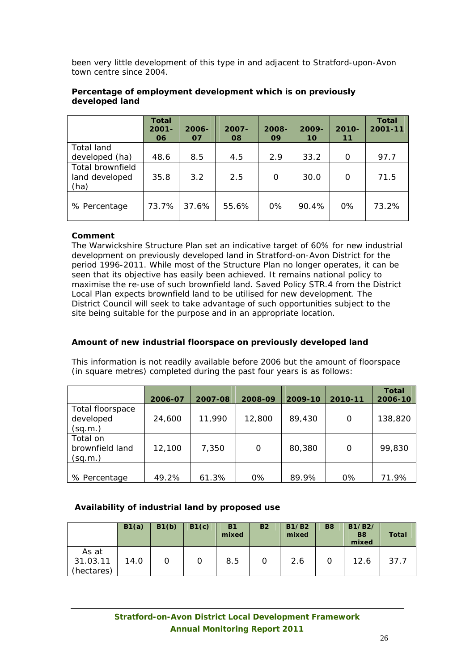been very little development of this type in and adjacent to Stratford-upon-Avon town centre since 2004.

|                                            | <b>Total</b><br>$2001 -$<br>06 | $2006 -$<br>07 | $2007 -$<br>08 | 2008-<br>09 | 2009-<br>10 | $2010 -$<br>11 | <b>Total</b><br>2001-11 |
|--------------------------------------------|--------------------------------|----------------|----------------|-------------|-------------|----------------|-------------------------|
| Total land                                 |                                |                |                |             |             |                |                         |
| developed (ha)                             | 48.6                           | 8.5            | 4.5            | 2.9         | 33.2        | $\Omega$       | 97.7                    |
| Total brownfield<br>land developed<br>(ha) | 35.8                           | 3.2            | 2.5            | O           | 30.0        | O              | 71.5                    |
| % Percentage                               | 73.7%                          | 37.6%          | 55.6%          | $0\%$       | 90.4%       | $0\%$          | 73.2%                   |

#### **Percentage of employment development which is on previously developed land**

## **Comment**

The Warwickshire Structure Plan set an indicative target of 60% for new industrial development on previously developed land in Stratford-on-Avon District for the period 1996-2011. While most of the Structure Plan no longer operates, it can be seen that its objective has easily been achieved. It remains national policy to maximise the re-use of such brownfield land. Saved Policy STR.4 from the District Local Plan expects brownfield land to be utilised for new development. The District Council will seek to take advantage of such opportunities subject to the site being suitable for the purpose and in an appropriate location.

## **Amount of new industrial floorspace on previously developed land**

This information is not readily available before 2006 but the amount of floorspace (in square metres) completed during the past four years is as follows:

|                                          | 2006-07 | 2007-08 | 2008-09 | 2009-10 | 2010-11 | <b>Total</b><br>2006-10 |
|------------------------------------------|---------|---------|---------|---------|---------|-------------------------|
| Total floorspace<br>developed<br>(sq.m.) | 24,600  | 11,990  | 12,800  | 89,430  | 0       | 138,820                 |
| Total on<br>brownfield land<br>(sq.m.)   | 12,100  | 7,350   | O       | 80,380  | 0       | 99,830                  |
| % Percentage                             | 49.2%   | 61.3%   | 0%      | 89.9%   | $0\%$   | 71.9%                   |

# **Availability of industrial land by proposed use**

|                                 | B1(a) | B1(b) | B1(c) | <b>B1</b><br>mixed | <b>B2</b> | <b>B1/B2</b><br>mixed | <b>B8</b> | B1/B2/<br><b>B8</b><br>mixed | Total |
|---------------------------------|-------|-------|-------|--------------------|-----------|-----------------------|-----------|------------------------------|-------|
| As at<br>31.03.11<br>(hectares) | 14.0  |       |       | 8.5                | O         | 2.6                   |           | 12.6                         | 37.7  |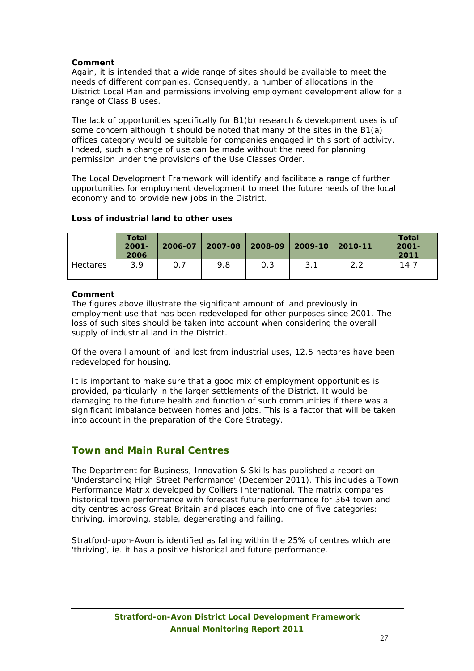#### **Comment**

Again, it is intended that a wide range of sites should be available to meet the needs of different companies. Consequently, a number of allocations in the District Local Plan and permissions involving employment development allow for a range of Class B uses.

The lack of opportunities specifically for B1(b) research & development uses is of some concern although it should be noted that many of the sites in the B1(a) offices category would be suitable for companies engaged in this sort of activity. Indeed, such a change of use can be made without the need for planning permission under the provisions of the Use Classes Order.

The Local Development Framework will identify and facilitate a range of further opportunities for employment development to meet the future needs of the local economy and to provide new jobs in the District.

#### **Loss of industrial land to other uses**

|                 | <b>Total</b><br>$2001 -$<br>2006 |     | 2006-07   2007-08   2008-09   2009-10 |     |     | $ 2010-11$ | <b>Total</b><br>$2001 -$<br>2011 |
|-----------------|----------------------------------|-----|---------------------------------------|-----|-----|------------|----------------------------------|
| <b>Hectares</b> | 3.9                              | 0.7 | 9.8                                   | 0.3 | 3.1 | 2.2        | 14.7                             |

#### **Comment**

The figures above illustrate the significant amount of land previously in employment use that has been redeveloped for other purposes since 2001. The loss of such sites should be taken into account when considering the overall supply of industrial land in the District.

Of the overall amount of land lost from industrial uses, 12.5 hectares have been redeveloped for housing.

It is important to make sure that a good mix of employment opportunities is provided, particularly in the larger settlements of the District. It would be damaging to the future health and function of such communities if there was a significant imbalance between homes and jobs. This is a factor that will be taken into account in the preparation of the Core Strategy.

## **Town and Main Rural Centres**

The Department for Business, Innovation & Skills has published a report on 'Understanding High Street Performance' (December 2011). This includes a Town Performance Matrix developed by Colliers International. The matrix compares historical town performance with forecast future performance for 364 town and city centres across Great Britain and places each into one of five categories: thriving, improving, stable, degenerating and failing.

Stratford-upon-Avon is identified as falling within the 25% of centres which are 'thriving', ie. it has a positive historical and future performance.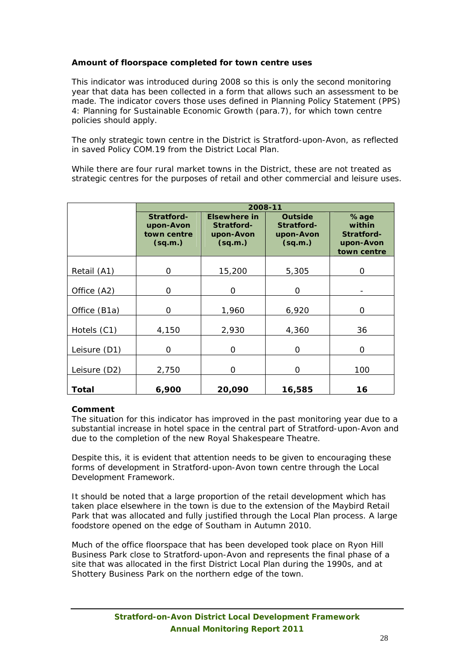#### **Amount of floorspace completed for town centre uses**

This indicator was introduced during 2008 so this is only the second monitoring year that data has been collected in a form that allows such an assessment to be made. The indicator covers those uses defined in Planning Policy Statement (PPS) 4: Planning for Sustainable Economic Growth (para.7), for which town centre policies should apply.

The only strategic town centre in the District is Stratford-upon-Avon, as reflected in saved Policy COM.19 from the District Local Plan.

While there are four rural market towns in the District, these are not treated as strategic centres for the purposes of retail and other commercial and leisure uses.

|              |                                                   | 2008-11                                            |                                                      |                                                             |
|--------------|---------------------------------------------------|----------------------------------------------------|------------------------------------------------------|-------------------------------------------------------------|
|              | Stratford-<br>upon-Avon<br>town centre<br>(sq.m.) | Elsewhere in<br>Stratford-<br>upon-Avon<br>(sq.m.) | <b>Outside</b><br>Stratford-<br>upon-Avon<br>(sq.m.) | $%$ age<br>within<br>Stratford-<br>upon-Avon<br>town centre |
| Retail (A1)  | 0                                                 | 15,200                                             | 5,305                                                | O                                                           |
| Office (A2)  | 0                                                 | 0                                                  | 0                                                    |                                                             |
| Office (B1a) | Ω                                                 | 1,960                                              | 6,920                                                | 0                                                           |
| Hotels (C1)  | 4,150                                             | 2,930                                              | 4,360                                                | 36                                                          |
| Leisure (D1) | $\Omega$                                          | 0                                                  | $\Omega$                                             | $\Omega$                                                    |
| Leisure (D2) | 2,750                                             | $\Omega$                                           | O                                                    | 100                                                         |
| Total        | 6,900                                             | 20,090                                             | 16,585                                               | 16                                                          |

#### **Comment**

The situation for this indicator has improved in the past monitoring year due to a substantial increase in hotel space in the central part of Stratford-upon-Avon and due to the completion of the new Royal Shakespeare Theatre.

Despite this, it is evident that attention needs to be given to encouraging these forms of development in Stratford-upon-Avon town centre through the Local Development Framework.

It should be noted that a large proportion of the retail development which has taken place elsewhere in the town is due to the extension of the Maybird Retail Park that was allocated and fully justified through the Local Plan process. A large foodstore opened on the edge of Southam in Autumn 2010.

Much of the office floorspace that has been developed took place on Ryon Hill Business Park close to Stratford-upon-Avon and represents the final phase of a site that was allocated in the first District Local Plan during the 1990s, and at Shottery Business Park on the northern edge of the town.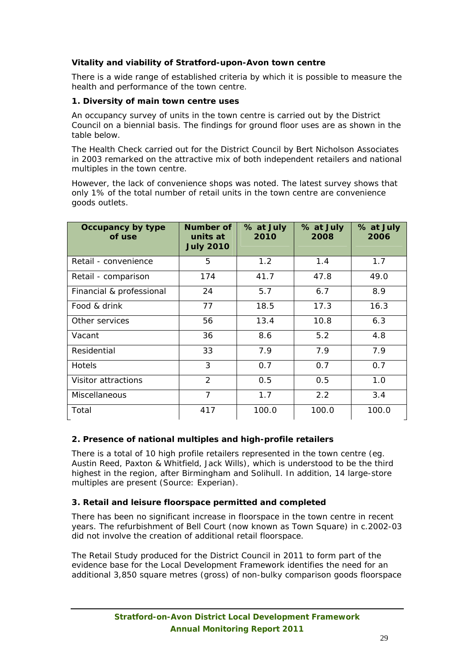## **Vitality and viability of Stratford-upon-Avon town centre**

There is a wide range of established criteria by which it is possible to measure the health and performance of the town centre.

#### **1. Diversity of main town centre uses**

An occupancy survey of units in the town centre is carried out by the District Council on a biennial basis. The findings for ground floor uses are as shown in the table below.

The Health Check carried out for the District Council by Bert Nicholson Associates in 2003 remarked on the attractive mix of both independent retailers and national multiples in the town centre.

However, the lack of convenience shops was noted. The latest survey shows that only 1% of the total number of retail units in the town centre are convenience goods outlets.

| Occupancy by type<br>of use | Number of<br>units at<br><b>July 2010</b> | % at July<br>2010 | % at July<br>2008 | % at July<br>2006 |
|-----------------------------|-------------------------------------------|-------------------|-------------------|-------------------|
| Retail - convenience        | 5                                         | 1.2               | 1.4               | 1.7               |
| Retail - comparison         | 174                                       | 41.7              | 47.8              | 49.0              |
| Financial & professional    | 24                                        | 5.7               | 6.7               | 8.9               |
| Food & drink                | 77                                        | 18.5              | 17.3              | 16.3              |
| Other services              | 56                                        | 13.4              | 10.8              | 6.3               |
| Vacant                      | 36                                        | 8.6               | 5.2               | 4.8               |
| Residential                 | 33                                        | 7.9               | 7.9               | 7.9               |
| <b>Hotels</b>               | 3                                         | 0.7               | 0.7               | 0.7               |
| Visitor attractions         | $\mathcal{P}$                             | 0.5               | 0.5               | 1.0               |
| <b>Miscellaneous</b>        | $\overline{7}$                            | 1.7               | 2.2               | 3.4               |
| Total                       | 417                                       | 100.0             | 100.0             | 100.0             |

#### **2. Presence of national multiples and high-profile retailers**

There is a total of 10 high profile retailers represented in the town centre (eg. Austin Reed, Paxton & Whitfield, Jack Wills), which is understood to be the third highest in the region, after Birmingham and Solihull. In addition, 14 large-store multiples are present (Source: Experian).

#### **3. Retail and leisure floorspace permitted and completed**

There has been no significant increase in floorspace in the town centre in recent years. The refurbishment of Bell Court (now known as Town Square) in c.2002-03 did not involve the creation of additional retail floorspace.

The Retail Study produced for the District Council in 2011 to form part of the evidence base for the Local Development Framework identifies the need for an additional 3,850 square metres (gross) of non-bulky comparison goods floorspace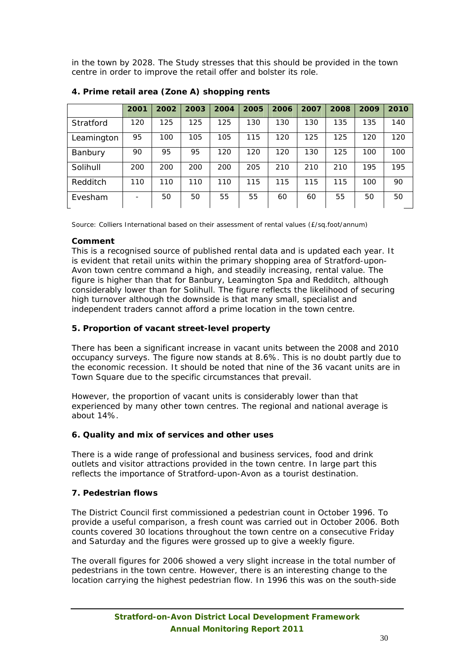in the town by 2028. The Study stresses that this should be provided in the town centre in order to improve the retail offer and bolster its role.

|            | 2001 | 2002 | 2003 | 2004 | 2005 | 2006 | 2007 | 2008 | 2009 | 2010 |
|------------|------|------|------|------|------|------|------|------|------|------|
| Stratford  | 120  | 125  | 125  | 125  | 130  | 130  | 130  | 135  | 135  | 140  |
| Leamington | 95   | 100  | 105  | 105  | 115  | 120  | 125  | 125  | 120  | 120  |
| Banbury    | 90   | 95   | 95   | 120  | 120  | 120  | 130  | 125  | 100  | 100  |
| Solihull   | 200  | 200  | 200  | 200  | 205  | 210  | 210  | 210  | 195  | 195  |
| Redditch   | 110  | 110  | 110  | 110  | 115  | 115  | 115  | 115  | 100  | 90   |
| Evesham    |      | 50   | 50   | 55   | 55   | 60   | 60   | 55   | 50   | 50   |

#### **4. Prime retail area (Zone A) shopping rents**

Source: Colliers International based on their assessment of rental values (£/sq.foot/annum)

#### **Comment**

This is a recognised source of published rental data and is updated each year. It is evident that retail units within the primary shopping area of Stratford-upon-Avon town centre command a high, and steadily increasing, rental value. The figure is higher than that for Banbury, Leamington Spa and Redditch, although considerably lower than for Solihull. The figure reflects the likelihood of securing high turnover although the downside is that many small, specialist and independent traders cannot afford a prime location in the town centre.

#### **5. Proportion of vacant street-level property**

There has been a significant increase in vacant units between the 2008 and 2010 occupancy surveys. The figure now stands at 8.6%. This is no doubt partly due to the economic recession. It should be noted that nine of the 36 vacant units are in Town Square due to the specific circumstances that prevail.

However, the proportion of vacant units is considerably lower than that experienced by many other town centres. The regional and national average is about 14%.

#### **6. Quality and mix of services and other uses**

There is a wide range of professional and business services, food and drink outlets and visitor attractions provided in the town centre. In large part this reflects the importance of Stratford-upon-Avon as a tourist destination.

#### **7. Pedestrian flows**

The District Council first commissioned a pedestrian count in October 1996. To provide a useful comparison, a fresh count was carried out in October 2006. Both counts covered 30 locations throughout the town centre on a consecutive Friday and Saturday and the figures were grossed up to give a weekly figure.

The overall figures for 2006 showed a very slight increase in the total number of pedestrians in the town centre. However, there is an interesting change to the location carrying the highest pedestrian flow. In 1996 this was on the south-side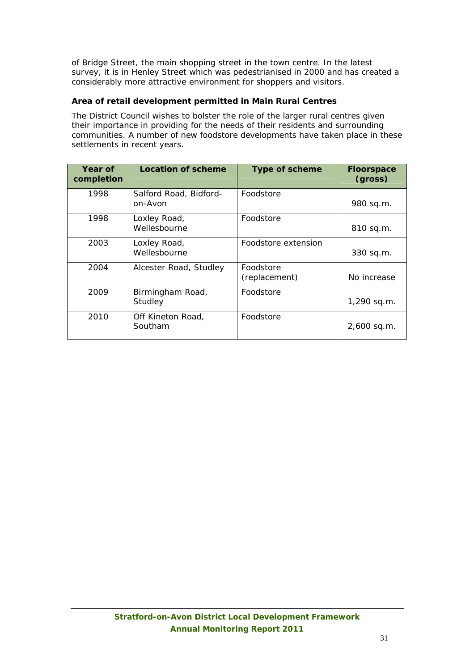of Bridge Street, the main shopping street in the town centre. In the latest survey, it is in Henley Street which was pedestrianised in 2000 and has created a considerably more attractive environment for shoppers and visitors.

#### **Area of retail development permitted in Main Rural Centres**

The District Council wishes to bolster the role of the larger rural centres given their importance in providing for the needs of their residents and surrounding communities. A number of new foodstore developments have taken place in these settlements in recent years.

| Year of<br>completion | <b>Location of scheme</b>         | <b>Type of scheme</b>      | <b>Floorspace</b><br>(gross) |
|-----------------------|-----------------------------------|----------------------------|------------------------------|
| 1998                  | Salford Road, Bidford-<br>on-Avon | Foodstore                  | 980 sq.m.                    |
| 1998                  | Loxley Road,<br>Wellesbourne      | Foodstore                  | $810$ sq.m.                  |
| 2003                  | Loxley Road,<br>Wellesbourne      | Foodstore extension        | $330$ sq.m.                  |
| 2004                  | Alcester Road, Studley            | Foodstore<br>(replacement) | No increase                  |
| 2009                  | Birmingham Road,<br>Studley       | Foodstore                  | 1,290 sq.m.                  |
| 2010                  | Off Kineton Road,<br>Southam      | Foodstore                  | 2,600 sq.m.                  |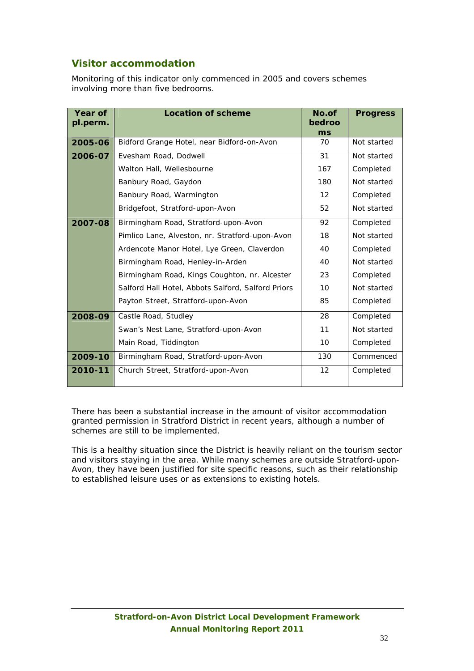# **Visitor accommodation**

Monitoring of this indicator only commenced in 2005 and covers schemes involving more than five bedrooms.

| <b>Year of</b><br>pl.perm. | <b>Location of scheme</b>                          | No.of<br>bedroo<br>ms | <b>Progress</b> |
|----------------------------|----------------------------------------------------|-----------------------|-----------------|
| 2005-06                    | Bidford Grange Hotel, near Bidford-on-Avon         | 70                    | Not started     |
| 2006-07                    | Evesham Road, Dodwell                              | 31                    | Not started     |
|                            | Walton Hall, Wellesbourne                          | 167                   | Completed       |
|                            | Banbury Road, Gaydon                               | 180                   | Not started     |
|                            | Banbury Road, Warmington                           | $12 \overline{ }$     | Completed       |
|                            | Bridgefoot, Stratford-upon-Avon                    | 52                    | Not started     |
| 2007-08                    | Birmingham Road, Stratford-upon-Avon               | 92                    | Completed       |
|                            | Pimlico Lane, Alveston, nr. Stratford-upon-Avon    | 18                    | Not started     |
|                            | Ardencote Manor Hotel, Lye Green, Claverdon        | 40                    | Completed       |
|                            | Birmingham Road, Henley-in-Arden                   | 40                    | Not started     |
|                            | Birmingham Road, Kings Coughton, nr. Alcester      | 23                    | Completed       |
|                            | Salford Hall Hotel, Abbots Salford, Salford Priors | 10                    | Not started     |
|                            | Payton Street, Stratford-upon-Avon                 | 85                    | Completed       |
| 2008-09                    | Castle Road, Studley                               | 28                    | Completed       |
|                            | Swan's Nest Lane, Stratford-upon-Avon              | 11                    | Not started     |
|                            | Main Road, Tiddington                              | 10                    | Completed       |
| 2009-10                    | Birmingham Road, Stratford-upon-Avon               | 130                   | Commenced       |
| 2010-11                    | Church Street, Stratford-upon-Avon                 | 12                    | Completed       |

There has been a substantial increase in the amount of visitor accommodation granted permission in Stratford District in recent years, although a number of schemes are still to be implemented.

This is a healthy situation since the District is heavily reliant on the tourism sector and visitors staying in the area. While many schemes are outside Stratford-upon-Avon, they have been justified for site specific reasons, such as their relationship to established leisure uses or as extensions to existing hotels.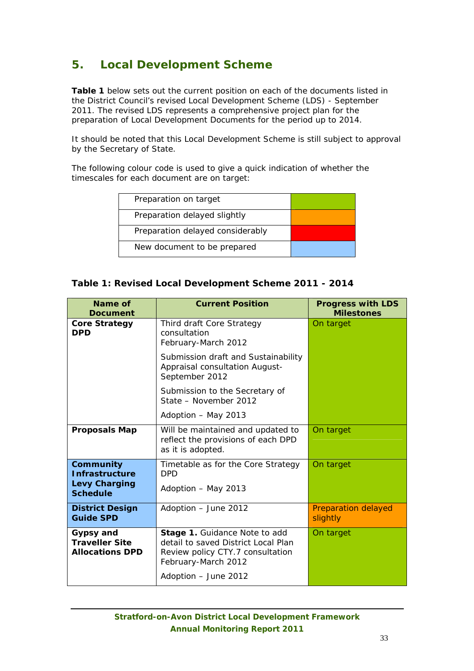# **5. Local Development Scheme**

**Table 1** below sets out the current position on each of the documents listed in the District Council's revised Local Development Scheme (LDS) - September 2011. The revised LDS represents a comprehensive project plan for the preparation of Local Development Documents for the period up to 2014.

It should be noted that this Local Development Scheme is still subject to approval by the Secretary of State.

The following colour code is used to give a quick indication of whether the timescales for each document are on target:

| Preparation on target            |  |
|----------------------------------|--|
| Preparation delayed slightly     |  |
| Preparation delayed considerably |  |
| New document to be prepared      |  |
|                                  |  |

#### **Table 1: Revised Local Development Scheme 2011 - 2014**

| Name of<br><b>Document</b>                                          | <b>Current Position</b>                                                                                                                                        | <b>Progress with LDS</b><br><b>Milestones</b> |
|---------------------------------------------------------------------|----------------------------------------------------------------------------------------------------------------------------------------------------------------|-----------------------------------------------|
| <b>Core Strategy</b><br><b>DPD</b>                                  | Third draft Core Strategy<br>consultation<br>February-March 2012                                                                                               | On target                                     |
|                                                                     | Submission draft and Sustainability<br>Appraisal consultation August-<br>September 2012                                                                        |                                               |
|                                                                     | Submission to the Secretary of<br>State - November 2012                                                                                                        |                                               |
|                                                                     | Adoption - May 2013                                                                                                                                            |                                               |
| <b>Proposals Map</b>                                                | Will be maintained and updated to<br>reflect the provisions of each DPD<br>as it is adopted.                                                                   | On target                                     |
| Community<br><b>Infrastructure</b>                                  | Timetable as for the Core Strategy<br><b>DPD</b>                                                                                                               | On target                                     |
| <b>Levy Charging</b><br><b>Schedule</b>                             | Adoption - May 2013                                                                                                                                            |                                               |
| <b>District Design</b><br><b>Guide SPD</b>                          | Adoption - June 2012                                                                                                                                           | <b>Preparation delayed</b><br>slightly        |
| <b>Gypsy and</b><br><b>Traveller Site</b><br><b>Allocations DPD</b> | <b>Stage 1. Guidance Note to add</b><br>detail to saved District Local Plan<br>Review policy CTY.7 consultation<br>February-March 2012<br>Adoption - June 2012 | On target                                     |
|                                                                     |                                                                                                                                                                |                                               |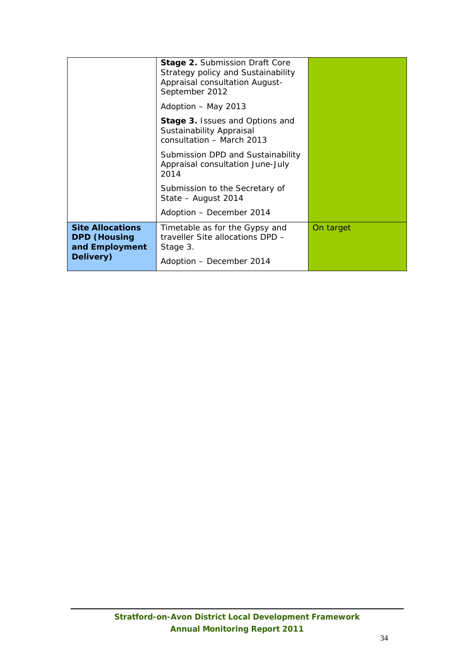|                                                                  | <b>Stage 2. Submission Draft Core</b><br>Strategy policy and Sustainability<br>Appraisal consultation August-<br>September 2012 |           |
|------------------------------------------------------------------|---------------------------------------------------------------------------------------------------------------------------------|-----------|
|                                                                  | Adoption - May 2013                                                                                                             |           |
|                                                                  | <b>Stage 3. Issues and Options and</b><br>Sustainability Appraisal<br>consultation - March 2013                                 |           |
|                                                                  | Submission DPD and Sustainability<br>Appraisal consultation June-July<br>2014                                                   |           |
|                                                                  | Submission to the Secretary of<br>State – August 2014                                                                           |           |
|                                                                  | Adoption - December 2014                                                                                                        |           |
| <b>Site Allocations</b><br><b>DPD (Housing</b><br>and Employment | Timetable as for the Gypsy and<br>traveller Site allocations DPD -<br>Stage 3.                                                  | On target |
| Delivery)                                                        | Adoption – December 2014                                                                                                        |           |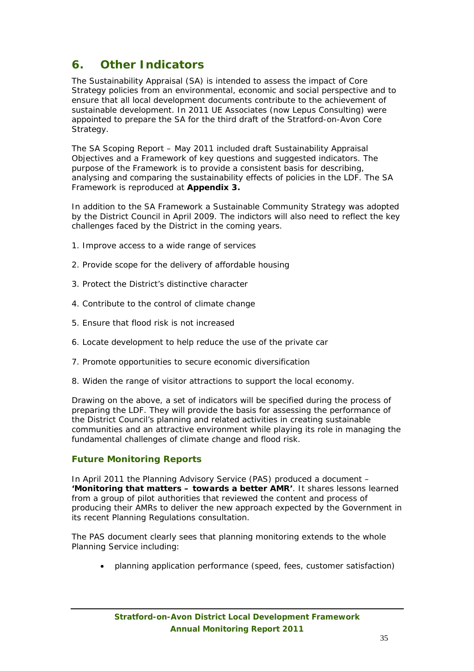# **6. Other Indicators**

The Sustainability Appraisal (SA) is intended to assess the impact of Core Strategy policies from an environmental, economic and social perspective and to ensure that all local development documents contribute to the achievement of sustainable development. In 2011 UE Associates (now Lepus Consulting) were appointed to prepare the SA for the third draft of the Stratford-on-Avon Core Strategy.

The SA Scoping Report – May 2011 included draft Sustainability Appraisal Objectives and a Framework of key questions and suggested indicators. The purpose of the Framework is to provide a consistent basis for describing, analysing and comparing the sustainability effects of policies in the LDF. The SA Framework is reproduced at **Appendix 3.**

In addition to the SA Framework a Sustainable Community Strategy was adopted by the District Council in April 2009. The indictors will also need to reflect the key challenges faced by the District in the coming years.

- 1. Improve access to a wide range of services
- 2. Provide scope for the delivery of affordable housing
- 3. Protect the District's distinctive character
- 4. Contribute to the control of climate change
- 5. Ensure that flood risk is not increased
- 6. Locate development to help reduce the use of the private car
- 7. Promote opportunities to secure economic diversification
- 8. Widen the range of visitor attractions to support the local economy.

Drawing on the above, a set of indicators will be specified during the process of preparing the LDF. They will provide the basis for assessing the performance of the District Council's planning and related activities in creating sustainable communities and an attractive environment while playing its role in managing the fundamental challenges of climate change and flood risk.

#### **Future Monitoring Reports**

In April 2011 the Planning Advisory Service (PAS) produced a document – *'Monitoring that matters – towards a better AMR'*. It shares lessons learned from a group of pilot authorities that reviewed the content and process of producing their AMRs to deliver the new approach expected by the Government in its recent Planning Regulations consultation.

The PAS document clearly sees that planning monitoring extends to the whole Planning Service including:

planning application performance (speed, fees, customer satisfaction)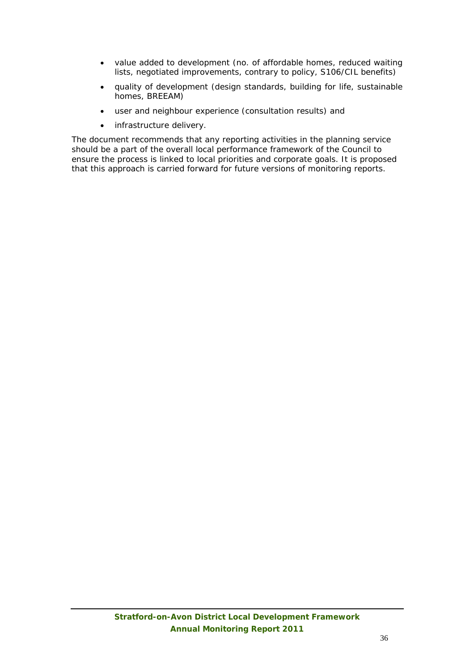- value added to development (no. of affordable homes, reduced waiting lists, negotiated improvements, contrary to policy, S106/CIL benefits)
- quality of development (design standards, building for life, sustainable homes, BREEAM)
- user and neighbour experience (consultation results) and
- infrastructure delivery.

The document recommends that any reporting activities in the planning service should be a part of the overall local performance framework of the Council to ensure the process is linked to local priorities and corporate goals. It is proposed that this approach is carried forward for future versions of monitoring reports.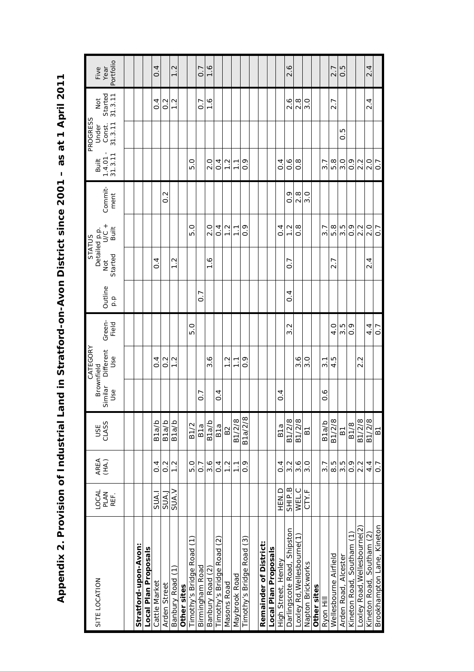**Appendix 2. Provision of Industrial Land in Stratford-on-Avon District since 2001 – as at 1 April 2011**  Appendix 2. Provision of Industrial Land in Stratford-on-Avon District since 2001 - as at 1 April 2011

| SITE LOCATION                          |                       |                   |                   | Brownfield              | CATEGORY         |                 |                | Detailed p.p.<br>STATUS |                   |                 | Built             | PROGRESS                   | Not                | Five              |
|----------------------------------------|-----------------------|-------------------|-------------------|-------------------------|------------------|-----------------|----------------|-------------------------|-------------------|-----------------|-------------------|----------------------------|--------------------|-------------------|
|                                        | LOCAL<br>PLAN<br>REF. | AREA<br>(HA.)     | USE<br>CLASS      | Similar<br>Use          | Different<br>Use | Green-<br>Field | Outline<br>p.p | Started<br>Not          | $\frac{1}{2}$     | Commit-<br>ment | 31.3.11<br>1.4.01 | 31.3.11<br>Const.<br>Under | Started<br>31.3.11 | Portfolio<br>Year |
|                                        |                       |                   |                   |                         |                  |                 |                |                         |                   |                 |                   |                            |                    |                   |
|                                        |                       |                   |                   |                         |                  |                 |                |                         |                   |                 |                   |                            |                    |                   |
| Stratford-upon-Avon:                   |                       |                   |                   |                         |                  |                 |                |                         |                   |                 |                   |                            |                    |                   |
| Local Plan Proposals                   |                       |                   |                   |                         |                  |                 |                |                         |                   |                 |                   |                            |                    |                   |
| Cattle Market                          | SUA.I                 | $\overline{0}$    | B <sub>1a/b</sub> |                         | $\frac{4}{1}$    |                 |                | $\overline{0}$          |                   |                 |                   |                            | $\frac{4}{1}$      | $\overline{0}$ .  |
| Arden Street                           | <b>LAUS</b>           | $\frac{2}{0}$     | B <sub>1a/b</sub> |                         | $\frac{2}{3}$    |                 |                |                         |                   | $\frac{2}{2}$   |                   |                            | $0.\overline{2}$   |                   |
| Banbury Road                           | <b>SUA.V</b>          | $\frac{2}{1}$     | B <sub>1a/b</sub> |                         | $\frac{2}{1}$    |                 |                | $\frac{2}{1}$           |                   |                 |                   |                            | $\frac{2}{1}$      | $\frac{2}{1}$     |
| Other sites                            |                       |                   |                   |                         |                  |                 |                |                         |                   |                 |                   |                            |                    |                   |
| Έ<br>Timothy's Bridge Road             |                       | 5.0               | B1/2              |                         |                  | С.              |                |                         | o<br>G            |                 | С.                |                            |                    |                   |
| Birmingham Road                        |                       | $\overline{0}$    | B <sub>1a</sub>   | r<br>$\overline{\circ}$ |                  |                 | $\overline{0}$ |                         |                   |                 |                   |                            | $\overline{0}$     | 0.7               |
| Banbury Road (2)                       |                       | 3.6               | B <sub>1a/b</sub> |                         | $\overline{3}.6$ |                 |                | $\frac{6}{1}$           | $\frac{0}{2}$     |                 | $\frac{0}{2}$     |                            | $\frac{6}{1}$      | $\overline{1}$ .6 |
| $\widehat{S}$<br>Timothy's Bridge Road |                       | $\overline{0}$    | B <sub>1a</sub>   | 4<br>$\circ$            |                  |                 |                |                         | $\overline{0}$    |                 | $\overline{0}$    |                            |                    |                   |
| Masons Road                            |                       | $\frac{1}{2}$     | B <sub>2</sub>    |                         | Ņ                |                 |                |                         | 1.2               |                 | $\frac{1}{2}$     |                            |                    |                   |
| Maybrook Road                          |                       | $\overline{1}$    | B1/2/8            |                         | $\overline{1}$   |                 |                |                         | $\frac{1}{1}$     |                 | $\overline{1}$    |                            |                    |                   |
| Timothy's Bridge Road (3)              |                       | $\frac{6}{10}$    | B1a/2/8           |                         | 0.9              |                 |                |                         | $\frac{6}{2}$     |                 | 0.9               |                            |                    |                   |
|                                        |                       |                   |                   |                         |                  |                 |                |                         |                   |                 |                   |                            |                    |                   |
| Remainder of District:                 |                       |                   |                   |                         |                  |                 |                |                         |                   |                 |                   |                            |                    |                   |
| Local Plan Proposals                   |                       |                   |                   |                         |                  |                 |                |                         |                   |                 |                   |                            |                    |                   |
| High Street, Henley                    | HEN.D                 | $\frac{4}{1}$     | B1a               | $\frac{4}{1}$           |                  |                 |                |                         | $\frac{4}{1}$     |                 | $\frac{4}{1}$     |                            |                    |                   |
| Darlingscote Road, Shipston            | SHIP.B                | 3.2               | B1/2/8            |                         |                  | 3.2             | $\frac{4}{1}$  | $\overline{0}$ .        | $\frac{2}{1}$     | $\frac{6}{2}$   | $\frac{6}{1}$     |                            | $\frac{6}{2}$      | 2.6               |
| Loxley Rd, Wellesbourne(1)             | WEL.C                 | 3.6               | B1/2/8            |                         | $\frac{8}{3}$    |                 |                |                         | $\frac{8}{2}$     | $\frac{8}{2}$   | $\frac{8}{2}$     |                            | $\frac{8}{2}$      |                   |
| Napton Brickworks                      | CTY.F                 | 3.0               | $\overline{5}$    |                         | 3.0              |                 |                |                         |                   | $\frac{0}{3}$   |                   |                            | 3.0                |                   |
| Other sites                            |                       |                   |                   |                         |                  |                 |                |                         |                   |                 |                   |                            |                    |                   |
| Ryon Hill                              |                       | $\overline{3}$ .7 | B <sub>1a/b</sub> | $0.\overline{6}$        | $\overline{3}$ 1 |                 |                |                         | $\overline{3}$ .7 |                 | $\overline{3}$ .7 |                            |                    |                   |
| Wellesbourne Airfield                  |                       | 8.5               | B1/2/8            |                         | 4.5              | $\frac{0}{4}$   |                | $\overline{2.7}$        | 5.8               |                 | 5.8               |                            | 2.7                | 2.7               |
| Arden Road, Alcester                   |                       | 3.5               | $\overline{B}$    |                         |                  | 3.5             |                |                         | 3.5               |                 | 3.0               | 0.5                        |                    | $\frac{5}{0}$     |
| E<br>Kineton Road, Southam             |                       | $\frac{9}{2}$     | <b>B1/8</b>       |                         |                  | $\frac{6}{2}$   |                |                         | $\frac{6}{10}$    |                 | 0.9               |                            |                    |                   |
| Loxley Road, Wellesbourne(2)           |                       | 2.2               | B1/2/8            |                         | 2.2              |                 |                |                         | 2.2               |                 | 2.2               |                            |                    |                   |
| Kineton Road, Southam (2)              |                       | $\frac{4}{1}$     | B1/2/8            |                         |                  | 4.4             |                | $\frac{4}{3}$           | $\frac{0}{2}$     |                 | $\frac{0}{2}$     |                            | $\frac{4}{2}$      | $\overline{2.4}$  |
| Brookhampton Lane, Kineton             |                       | $\overline{0}$ .  | $\overline{B}$    |                         |                  | $\overline{0}$  |                |                         | $\overline{0}$    |                 | $\overline{0}$ .  |                            |                    |                   |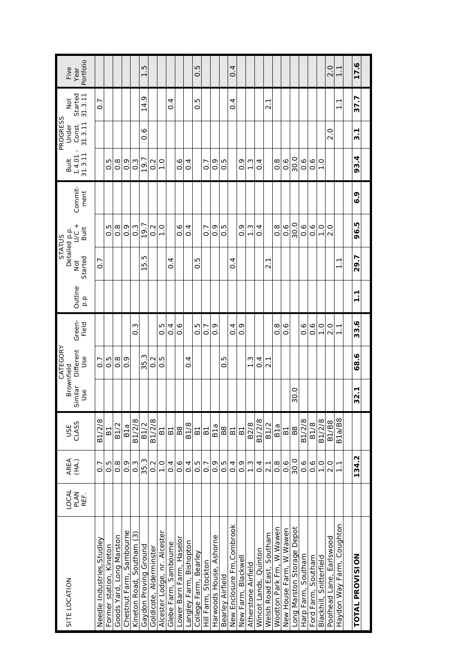| Five                                   | Portfolio<br>Year                       |                            |                            |                          |                                 |                           | ċ.<br>$\overline{ }$<br>ᡋ |                         |                              | 4                     |                          |                        | Ю<br>5                |                     |                            |                  | 0.4                        |                    |                     |                       |                          |                          |                         |                            |                    |                    |                         | $\frac{0}{2}$            | $\overline{1}$                             | 17.6                     |
|----------------------------------------|-----------------------------------------|----------------------------|----------------------------|--------------------------|---------------------------------|---------------------------|---------------------------|-------------------------|------------------------------|-----------------------|--------------------------|------------------------|-----------------------|---------------------|----------------------------|------------------|----------------------------|--------------------|---------------------|-----------------------|--------------------------|--------------------------|-------------------------|----------------------------|--------------------|--------------------|-------------------------|--------------------------|--------------------------------------------|--------------------------|
| <b>Not</b><br><b>PROGRESS</b><br>Under | Started<br>31.3.11<br>31.3.11<br>Const. | $\overline{0}$ .           |                            |                          |                                 |                           | $\overline{1}$<br>o.o     |                         |                              | $\circ$               |                          |                        | 0.G                   |                     |                            |                  | 0.4                        |                    |                     |                       | 2.1                      |                          |                         |                            |                    |                    |                         | $\frac{0}{2}$            | $\overline{1}$                             | 37.7<br>$\overline{3}$ . |
| Built                                  | 31.3.11<br>1.4.01                       |                            | Ю<br>$\overline{C}$        | $\frac{8}{2}$            | $\overline{O}$                  | $\frac{3}{2}$             | 19.7                      | $0.\overline{2}$        | $\frac{0}{1}$                |                       | $\frac{6}{10}$           | $\overline{0}$         |                       | $\overline{0}$      | $\frac{6}{2}$              | $0.\overline{5}$ |                            | $\frac{6}{2}$      | $\frac{3}{1}$       | 0.4                   |                          | $\frac{8}{2}$            | $0.\overline{6}$        | 30.0                       | $0.\overline{6}$   | $\frac{6}{1}$      | $\frac{0}{1}$           |                          |                                            | 93.4                     |
|                                        | Commit-<br>ment                         |                            |                            |                          |                                 |                           |                           |                         |                              |                       |                          |                        |                       |                     |                            |                  |                            |                    |                     |                       |                          |                          |                         |                            |                    |                    |                         |                          |                                            | 6.9                      |
| Detailed p.p.<br><b>STATUS</b>         | $U\subset +$<br>Built                   |                            | 0.5                        | $\frac{8}{2}$            | 0.9                             | $0.\overline{3}$          | 19.7                      | $\frac{2}{0}$           | $\frac{0}{1}$                |                       | $\frac{6}{1}$            | $\overline{0}$         |                       | $\overline{0}$ .    | $\overline{O}$             | $0.\overline{5}$ |                            | $\frac{6}{10}$     | $\frac{3}{1}$       | $\overline{0}$        |                          | $\frac{8}{2}$            | $0.\overline{6}$        | 30.0                       | $\frac{6}{1}$      | $0.\overline{6}$   | $\frac{0}{1}$           | $\frac{0}{2}$            |                                            | 96.5                     |
|                                        | Started<br>Not                          | $\overline{0}$             |                            |                          |                                 |                           | Ю<br>Б<br>$\overline{ }$  |                         |                              | 4<br>Ö                |                          |                        | ഥ<br>0                |                     |                            |                  | 4<br>Ö                     |                    |                     |                       | $\overline{2.1}$         |                          |                         |                            |                    |                    |                         |                          | $\overline{\phantom{a}}$<br>$\overline{ }$ | 29.7                     |
|                                        | Outline<br>q.a                          |                            |                            |                          |                                 |                           |                           |                         |                              |                       |                          |                        |                       |                     |                            |                  |                            |                    |                     |                       |                          |                          |                         |                            |                    |                    |                         |                          |                                            | $\overline{1}$           |
|                                        | Green-<br>Field                         |                            |                            |                          |                                 | ე<br>ე                    |                           |                         | 0.5                          | $\overline{0}$        | $\frac{6}{1}$            |                        | 0.5                   | $\overline{0}$      | $\frac{6}{2}$              |                  | 0.4                        | $\frac{6}{10}$     |                     |                       |                          | $\frac{8}{2}$            | $\frac{6}{10}$          |                            | $\frac{6}{1}$      | $\frac{6}{1}$      | $\frac{0}{1}$           | $\frac{0}{2}$            |                                            | 33.6                     |
| CATEGORY                               | Different<br>Use                        | $\overline{0}$ .           | 0.5                        | $\frac{8}{2}$            | $\overline{0}$ . O              |                           | 35.3                      | $\frac{2}{0}$           | С.<br>О                      |                       |                          | 4<br>ö                 |                       |                     |                            | 0.5              |                            |                    | $\frac{3}{1}$       | 0.4                   | 2.1                      |                          |                         |                            |                    |                    |                         |                          |                                            | 68.6                     |
| Brownfield                             | Similar<br>Use                          |                            |                            |                          |                                 |                           |                           |                         |                              |                       |                          |                        |                       |                     |                            |                  |                            |                    |                     |                       |                          |                          |                         | 30.0                       |                    |                    |                         |                          |                                            | 32.1                     |
| USE<br>CLASS                           |                                         | B1/2/8                     | B <sub>1</sub>             | B1/2                     | B <sub>1a</sub>                 | B1/2/8                    | <b>B1/2</b>               | B1/2/8                  | 61                           | $\overline{a}$        | B8                       | <b>B1/8</b>            | $\overline{B}$        | $\overline{B}$      | B <sub>1a</sub>            | $_{\rm B8}$      | $\overline{B}$             | $\overline{B}$     | <b>B2/8</b>         | B1/2/8                | <b>B1/2</b>              | B <sub>1a</sub>          | $\overline{5}$          | B8                         | B1/2/8             | <b>B1/8</b>        | B1/2/8                  | B1/B8                    | B1a/B8                                     |                          |
| AREA<br>(HA.)                          |                                         | $\overline{0}$ .           | 0.5                        | $\frac{8}{2}$            | $\overline{O}$ . $\overline{O}$ | $\frac{3}{2}$             | 35.3                      | $\frac{2}{0}$           | $\overline{0}$               | $\overline{0}$ .      | $0.\overline{6}$         | 0.4                    | $0.\overline{5}$      | $\overline{0}$ .    | $\frac{6}{10}$             | $0.\overline{5}$ | 0.4                        | $0.\overline{9}$   | $\frac{3}{2}$       | $\overline{0}$        | 2.1                      | $\frac{8}{2}$            | $0.\overline{6}$        | 30.0                       | $0.\overline{6}$   | $0.\overline{6}$   | $\frac{0}{1}$           | $\overline{2}$ .0        | $\overline{1}$                             | 134.2                    |
| LOCAL                                  | PLAN<br>REF.                            |                            |                            |                          |                                 |                           |                           |                         |                              |                       |                          |                        |                       |                     |                            |                  |                            |                    |                     |                       |                          |                          |                         |                            |                    |                    |                         |                          |                                            |                          |
| SITE LOCATION                          |                                         | Needle Industries, Studley | station, Kineton<br>Former | Goods Yard, Long Marston | Chestnut Farm, Sambourne        | Kineton Road, Southam (3) | Gaydon Proving Ground     | Goldicote, Alderminster | Alcester Lodge, nr. Alcester | Glebe Farm, Sambourne | Lower Barn Farm, Haselor | angley Farm, Bishopton | College Farm, Bearley | Hill Farm, Stockton | Ashorne<br>Harwoods House, | Bearley Airfield | New Enclosure Fm, Combrook | New Farm, Blackwel | Atherstone Airfield | Wincot Lands, Quinton | Welsh Road East, Southam | Wootton Park Fm, W.Wawen | New House Farm, W.Wawen | Long Marston Storage Depot | Harp Farm, Southam | Ford Farm, Southam | Blackhill, Snitterfield | Poolhead Lane, Earlswood | Haydon Way Farm, Coughton                  | <b>TOTAL PROVISION</b>   |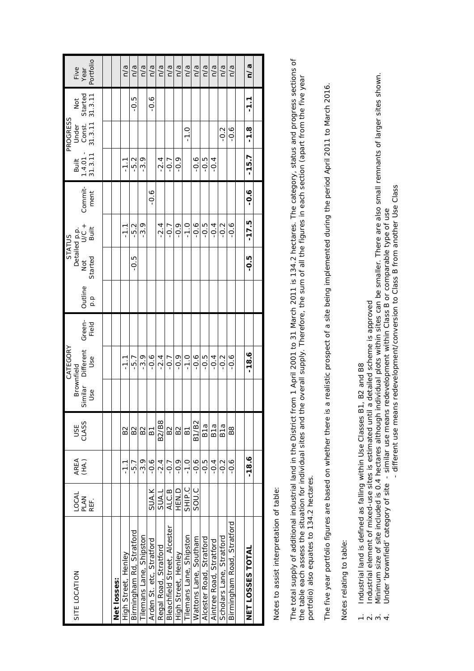|                              |               |               |                 |            | CATEGORY       |        |         |         | <b>STATUS</b>                             |         |                       | PROGRESS        |               |               |
|------------------------------|---------------|---------------|-----------------|------------|----------------|--------|---------|---------|-------------------------------------------|---------|-----------------------|-----------------|---------------|---------------|
| SITE LOCATION                |               |               | USE<br>CLASS    | Brownfield |                |        |         |         |                                           |         | Built                 |                 | Not           |               |
|                              | LOCAL<br>PLAN | AREA<br>(HA.) |                 | Similar    | Different      | Green- | Outline | Not     |                                           | Commit- |                       | Under<br>Const. | Started       | Five<br>Year  |
|                              | REF.          |               |                 | Use        | Use            | Field  | q.q     | Started | Detailed p.p.<br>Not U/C +<br>arted Built | ment    | $1,4.01 -$<br>31.3.11 | 31.3.11         | 31.3.11       | Portfolio     |
|                              |               |               |                 |            |                |        |         |         |                                           |         |                       |                 |               |               |
|                              |               |               |                 |            |                |        |         |         |                                           |         |                       |                 |               |               |
| Net losses:                  |               |               |                 |            |                |        |         |         |                                           |         |                       |                 |               |               |
| High Street, Henley          |               | $-1.1$        | B <sub>2</sub>  |            | $-1.1$         |        |         |         | $-1.1$                                    |         | $-1.1$                |                 |               | n/a           |
| Birmingham Rd, Stratford     |               | $-5.7$        | B <sub>2</sub>  |            | $-5.7$         |        |         | -0.5    | $-5.2$                                    |         | $-5.2$                |                 | $-0.5$        | n/a           |
| ilemans Lane, Shipston       |               | $-3.9$        | B2              |            | $-3.9$         |        |         |         | $-3.9$                                    |         | $-3.9$                |                 |               | n/a           |
| Arden St. etc, Stratford     | SUA.K         | $-0.6$        | 61              |            | $-0.6$         |        |         |         |                                           | $-0.6$  |                       |                 | $-0.6$        | $\frac{a}{a}$ |
| Regal Road, Stratford        | <b>SUA</b> L  | $-2.4$        | B2/B8           |            | $-2.4$         |        |         |         | $-2.4$                                    |         | $-2.4$                |                 |               | n/a           |
| Bleachfield Street, Alcester | ALC.B         | $-0.7$        | B <sub>2</sub>  |            | $-0.7$         |        |         |         | $-0.7$                                    |         | $-0.7$                |                 |               | $\frac{a}{a}$ |
| High Street, Henley          | HEN.D         | $-0.9$        | B <sub>2</sub>  |            | $\frac{6}{10}$ |        |         |         | $-0.9$                                    |         | $-0.9$                |                 |               | $\frac{a}{a}$ |
| ilemans Lane, Shipston       | SHIP.C        | $-1.0$        | 61              |            | $-1.0$         |        |         |         | $-1.0$                                    |         |                       | $-1.0$          |               | n/a           |
| Wattons Lane, Southam        | SOU.C         | $-0.6$        | B1/B2           |            | $-0.6$         |        |         |         | $-0.6$                                    |         | $-0.6$                |                 |               | n/a           |
| Alcester Road, Stratford     |               | -0.5          | B1a             |            | ή.σ            |        |         |         | $-0.5$                                    |         | $-0.5$                |                 |               | n/a           |
| Aintree Road, Stratford      |               | $-0.4$        | B <sub>1a</sub> |            | $-0.4$         |        |         |         | $-0.4$                                    |         | $\frac{4}{1}$         |                 |               | n/a           |
| Scholars Lane, Stratford     |               | $-0.2$        | B1a             |            | $-0.2$         |        |         |         | $-0.2$                                    |         |                       | $-0.2$          |               | $\frac{a}{a}$ |
| Birmingham Road, Stratford   |               | $-0.6$        | 88              |            | $-0.6$         |        |         |         | $-0.6$                                    |         |                       | $-0.6$          |               | n/a           |
|                              |               |               |                 |            |                |        |         |         |                                           |         |                       |                 |               |               |
| NET LOSSES TOTAL             |               | $-18.6$       |                 |            | $-18.6$        |        |         | -0.5    | $-17.5$                                   | 9.6-    | $-15.7$               | $-1.8$          | $\frac{1}{1}$ | n/a           |
|                              |               |               |                 |            |                |        |         |         |                                           |         |                       |                 |               |               |

Notes to assist interpretation of table: Notes to assist interpretation of table: The total supply of additional industrial land in the District from 1 April 2001 to 31 March 2011 is 134.2 hectares. The category, status and progress sections of<br>the table each assess the situation for individual sites an The total supply of additional industrial land in the District from 1 April 2001 to 31 March 2011 is 134.2 hectares. The category, status and progress sections of the table each assess the situation for individual sites and the overall supply. Therefore, the sum of all the figures in each section (apart from the five year portfolio) also equates to 134.2 hectares. portfolio) also equates to 134.2 hectares.

The five year portfolio figures are based on whether there is a realistic prospect of a site being implemented during the period April 2011 to March 2016. The five year portfolio figures are based on whether there is a realistic prospect of a site being implemented during the period April 2011 to March 2016.

Notes relating to table: Notes relating to table:

- 1. Industrial land is defined as falling within Use Classes B1, B2 and B8
- Industrial land is defined as falling within Use Classes B1, B2 and B8<br>Industrial element of mixed-use sites is estimated until a detailed scheme is approved 2. Industrial element of mixed-use sites is estimated until a detailed scheme is approved
- 3. Minimum size of site included is 0.4 hectares although individual plots within sites can be smaller. There are also small remnants of larger sites shown. Minimum size of site included is 0.4 hectares although individual plots within sites can be smaller. There are also small remnants of larger sites shown.<br>Under 'brownfield' category of site - similar use means redevelopmen  $\sim$   $\sim$   $\sim$ 
	- 4. Under 'brownfield' category of site similar use means redevelopment within Class B or comparable type of use

 - different use means redevelopment/conversion to Class B from another Use Class - different use means redevelopment/conversion to Class B from another Use Class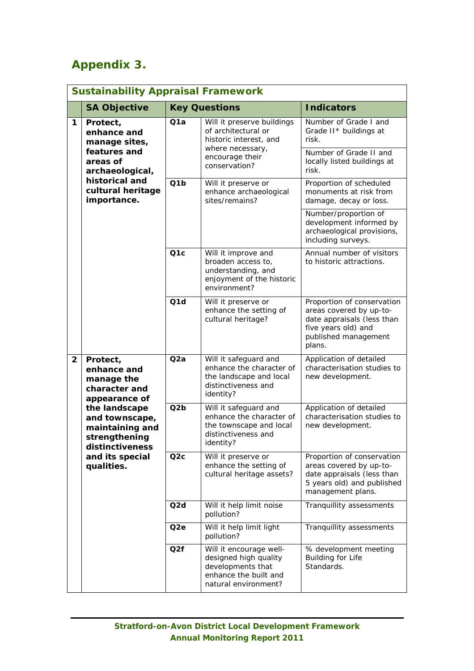# **Appendix 3.**

|                | <b>Sustainability Appraisal Framework</b>                                              |                  |                                                                                                                        |                                                                                                                                              |
|----------------|----------------------------------------------------------------------------------------|------------------|------------------------------------------------------------------------------------------------------------------------|----------------------------------------------------------------------------------------------------------------------------------------------|
|                | <b>SA Objective</b>                                                                    |                  | <b>Key Questions</b>                                                                                                   | <b>Indicators</b>                                                                                                                            |
| 1              | Protect,<br>enhance and<br>manage sites,<br>features and<br>areas of                   | Q <sub>1</sub> a | Will it preserve buildings<br>of architectural or<br>historic interest, and<br>where necessary,<br>encourage their     | Number of Grade I and<br>Grade II* buildings at<br>risk.<br>Number of Grade II and<br>locally listed buildings at                            |
|                | archaeological,                                                                        |                  | conservation?                                                                                                          | risk.                                                                                                                                        |
|                | historical and<br>cultural heritage<br>importance.                                     | Q <sub>1</sub> b | Will it preserve or<br>enhance archaeological<br>sites/remains?                                                        | Proportion of scheduled<br>monuments at risk from<br>damage, decay or loss.                                                                  |
|                |                                                                                        |                  |                                                                                                                        | Number/proportion of<br>development informed by<br>archaeological provisions,<br>including surveys.                                          |
|                |                                                                                        | Q <sub>1</sub> c | Will it improve and<br>broaden access to,<br>understanding, and<br>enjoyment of the historic<br>environment?           | Annual number of visitors<br>to historic attractions.                                                                                        |
|                |                                                                                        | Q <sub>1</sub> d | Will it preserve or<br>enhance the setting of<br>cultural heritage?                                                    | Proportion of conservation<br>areas covered by up-to-<br>date appraisals (less than<br>five years old) and<br>published management<br>plans. |
| $\overline{2}$ | Protect,<br>enhance and<br>manage the<br>character and<br>appearance of                | Q2a              | Will it safeguard and<br>enhance the character of<br>the landscape and local<br>distinctiveness and<br>identity?       | Application of detailed<br>characterisation studies to<br>new development.                                                                   |
|                | the landscape<br>and townscape,<br>maintaining and<br>strengthening<br>distinctiveness | Q2b              | Will it safeguard and<br>enhance the character of<br>the townscape and local<br>distinctiveness and<br>identity?       | Application of detailed<br>characterisation studies to<br>new development.                                                                   |
|                | and its special<br>qualities.                                                          | Q <sub>2</sub> c | Will it preserve or<br>enhance the setting of<br>cultural heritage assets?                                             | Proportion of conservation<br>areas covered by up-to-<br>date appraisals (less than<br>5 years old) and published<br>management plans.       |
|                |                                                                                        | Q <sub>2</sub> d | Will it help limit noise<br>pollution?                                                                                 | Tranquillity assessments                                                                                                                     |
|                |                                                                                        | Q2e              | Will it help limit light<br>pollution?                                                                                 | Tranquillity assessments                                                                                                                     |
|                |                                                                                        | Q2f              | Will it encourage well-<br>designed high quality<br>developments that<br>enhance the built and<br>natural environment? | % development meeting<br><b>Building for Life</b><br>Standards.                                                                              |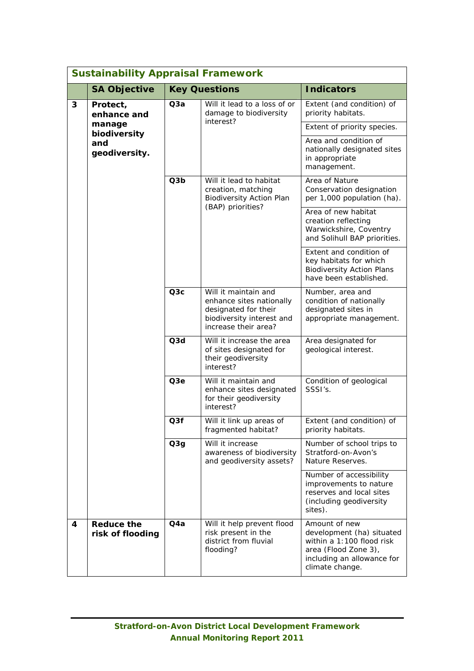|   | <b>Sustainability Appraisal Framework</b> |     |                                                                                                                               |                                                                                                                                                  |
|---|-------------------------------------------|-----|-------------------------------------------------------------------------------------------------------------------------------|--------------------------------------------------------------------------------------------------------------------------------------------------|
|   | <b>SA Objective</b>                       |     | <b>Key Questions</b>                                                                                                          | <b>Indicators</b>                                                                                                                                |
| 3 | Protect,<br>enhance and                   | Q3a | Will it lead to a loss of or<br>damage to biodiversity                                                                        | Extent (and condition) of<br>priority habitats.                                                                                                  |
|   | manage<br>biodiversity                    |     | interest?                                                                                                                     | Extent of priority species.                                                                                                                      |
|   | and<br>geodiversity.                      |     |                                                                                                                               | Area and condition of<br>nationally designated sites<br>in appropriate<br>management.                                                            |
|   |                                           | Q3b | Will it lead to habitat<br>creation, matching<br><b>Biodiversity Action Plan</b><br>(BAP) priorities?                         | Area of Nature<br>Conservation designation<br>per 1,000 population (ha).                                                                         |
|   |                                           |     |                                                                                                                               | Area of new habitat<br>creation reflecting<br>Warwickshire, Coventry<br>and Solihull BAP priorities.                                             |
|   |                                           |     |                                                                                                                               | Extent and condition of<br>key habitats for which<br><b>Biodiversity Action Plans</b><br>have been established.                                  |
|   |                                           | Q3c | Will it maintain and<br>enhance sites nationally<br>designated for their<br>biodiversity interest and<br>increase their area? | Number, area and<br>condition of nationally<br>designated sites in<br>appropriate management.                                                    |
|   |                                           | Q3d | Will it increase the area<br>of sites designated for<br>their geodiversity<br>interest?                                       | Area designated for<br>geological interest.                                                                                                      |
|   |                                           | Q3e | Will it maintain and<br>enhance sites designated<br>for their geodiversity<br>interest?                                       | Condition of geological<br>SSSI's.                                                                                                               |
|   |                                           | O3f | Will it link up areas of<br>fragmented habitat?                                                                               | Extent (and condition) of<br>priority habitats.                                                                                                  |
|   |                                           | Q3g | Will it increase<br>awareness of biodiversity<br>and geodiversity assets?                                                     | Number of school trips to<br>Stratford-on-Avon's<br>Nature Reserves.                                                                             |
|   |                                           |     |                                                                                                                               | Number of accessibility<br>improvements to nature<br>reserves and local sites<br>(including geodiversity<br>sites).                              |
| 4 | Reduce the<br>risk of flooding            | Q4a | Will it help prevent flood<br>risk present in the<br>district from fluvial<br>flooding?                                       | Amount of new<br>development (ha) situated<br>within a 1:100 flood risk<br>area (Flood Zone 3),<br>including an allowance for<br>climate change. |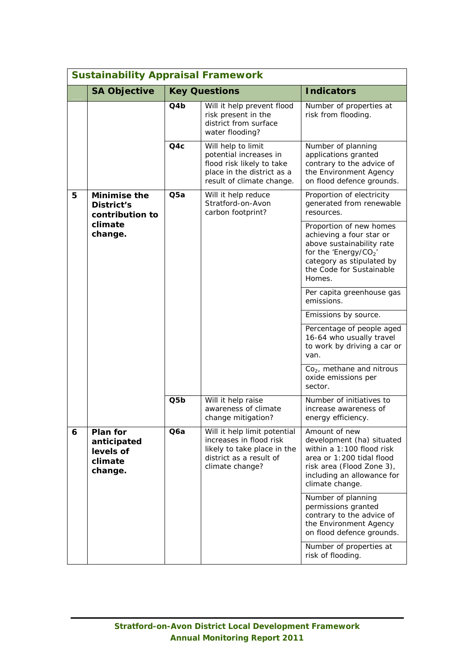|   | <b>Sustainability Appraisal Framework</b>                   |     |                                                                                                                                      |                                                                                                                                                                                          |
|---|-------------------------------------------------------------|-----|--------------------------------------------------------------------------------------------------------------------------------------|------------------------------------------------------------------------------------------------------------------------------------------------------------------------------------------|
|   | <b>SA Objective</b>                                         |     | <b>Key Questions</b>                                                                                                                 | <b>Indicators</b>                                                                                                                                                                        |
|   |                                                             | Q4b | Will it help prevent flood<br>risk present in the<br>district from surface<br>water flooding?                                        | Number of properties at<br>risk from flooding.                                                                                                                                           |
|   |                                                             | Q4c | Will help to limit<br>potential increases in<br>flood risk likely to take<br>place in the district as a<br>result of climate change. | Number of planning<br>applications granted<br>contrary to the advice of<br>the Environment Agency<br>on flood defence grounds.                                                           |
| 5 | <b>Minimise the</b><br><b>District's</b><br>contribution to | Q5a | Will it help reduce<br>Stratford-on-Avon<br>carbon footprint?                                                                        | Proportion of electricity<br>generated from renewable<br>resources.                                                                                                                      |
|   | climate<br>change.                                          |     |                                                                                                                                      | Proportion of new homes<br>achieving a four star or<br>above sustainability rate<br>for the 'Energy/CO <sub>2</sub> '<br>category as stipulated by<br>the Code for Sustainable<br>Homes. |
|   |                                                             |     |                                                                                                                                      | Per capita greenhouse gas<br>emissions.                                                                                                                                                  |
|   |                                                             |     |                                                                                                                                      | Emissions by source.                                                                                                                                                                     |
|   |                                                             |     |                                                                                                                                      | Percentage of people aged<br>16-64 who usually travel<br>to work by driving a car or<br>van.                                                                                             |
|   |                                                             |     |                                                                                                                                      | $Co2$ , methane and nitrous<br>oxide emissions per<br>sector.                                                                                                                            |
|   |                                                             | Q5b | Will it help raise<br>awareness of climate<br>change mitigation?                                                                     | Number of initiatives to<br>increase awareness of<br>energy efficiency.                                                                                                                  |
| 6 | Plan for<br>anticipated<br>levels of<br>climate<br>change.  | Q6a | Will it help limit potential<br>increases in flood risk<br>likely to take place in the<br>district as a result of<br>climate change? | Amount of new<br>development (ha) situated<br>within a 1:100 flood risk<br>area or 1:200 tidal flood<br>risk area (Flood Zone 3),<br>including an allowance for<br>climate change.       |
|   |                                                             |     |                                                                                                                                      | Number of planning<br>permissions granted<br>contrary to the advice of<br>the Environment Agency<br>on flood defence grounds.                                                            |
|   |                                                             |     |                                                                                                                                      | Number of properties at<br>risk of flooding.                                                                                                                                             |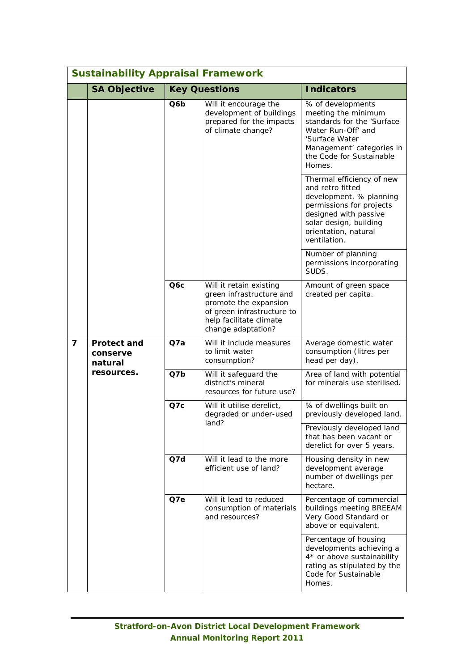|   | <b>Sustainability Appraisal Framework</b>               |                 |                                                                                                                                                             |                                                                                                                                                                                                 |
|---|---------------------------------------------------------|-----------------|-------------------------------------------------------------------------------------------------------------------------------------------------------------|-------------------------------------------------------------------------------------------------------------------------------------------------------------------------------------------------|
|   | <b>SA Objective</b>                                     |                 | <b>Key Questions</b>                                                                                                                                        | <b>Indicators</b>                                                                                                                                                                               |
|   |                                                         | Q6 <sub>b</sub> | Will it encourage the<br>development of buildings<br>prepared for the impacts<br>of climate change?                                                         | % of developments<br>meeting the minimum<br>standards for the 'Surface<br>Water Run-Off' and<br>'Surface Water<br>Management' categories in<br>the Code for Sustainable<br>Homes.               |
|   |                                                         |                 |                                                                                                                                                             | Thermal efficiency of new<br>and retro fitted<br>development. % planning<br>permissions for projects<br>designed with passive<br>solar design, building<br>orientation, natural<br>ventilation. |
|   |                                                         |                 |                                                                                                                                                             | Number of planning<br>permissions incorporating<br>SUDS.                                                                                                                                        |
|   |                                                         | Q6c             | Will it retain existing<br>green infrastructure and<br>promote the expansion<br>of green infrastructure to<br>help facilitate climate<br>change adaptation? | Amount of green space<br>created per capita.                                                                                                                                                    |
| 7 | <b>Protect and</b><br>conserve<br>natural<br>resources. | Q7a             | Will it include measures<br>to limit water<br>consumption?                                                                                                  | Average domestic water<br>consumption (litres per<br>head per day).                                                                                                                             |
|   |                                                         | Q7b             | Will it safeguard the<br>district's mineral<br>resources for future use?                                                                                    | Area of land with potential<br>for minerals use sterilised.                                                                                                                                     |
|   |                                                         | Q7c             | Will it utilise derelict,<br>degraded or under-used                                                                                                         | % of dwellings built on<br>previously developed land.                                                                                                                                           |
|   |                                                         |                 | land?                                                                                                                                                       | Previously developed land<br>that has been vacant or<br>derelict for over 5 years.                                                                                                              |
|   |                                                         | Q7d             | Will it lead to the more<br>efficient use of land?                                                                                                          | Housing density in new<br>development average<br>number of dwellings per<br>hectare.                                                                                                            |
|   |                                                         | Q7e             | Will it lead to reduced<br>consumption of materials<br>and resources?                                                                                       | Percentage of commercial<br>buildings meeting BREEAM<br>Very Good Standard or<br>above or equivalent.                                                                                           |
|   |                                                         |                 |                                                                                                                                                             | Percentage of housing<br>developments achieving a<br>4* or above sustainability<br>rating as stipulated by the<br>Code for Sustainable<br>Homes.                                                |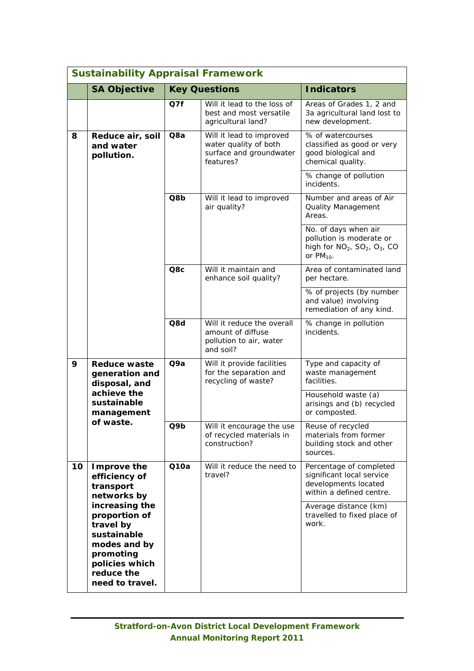|    | <b>Sustainability Appraisal Framework</b>                                                                                                   |                 |                                                                                           |                                                                                                          |
|----|---------------------------------------------------------------------------------------------------------------------------------------------|-----------------|-------------------------------------------------------------------------------------------|----------------------------------------------------------------------------------------------------------|
|    | <b>SA Objective</b>                                                                                                                         |                 | <b>Key Questions</b>                                                                      | <b>Indicators</b>                                                                                        |
|    |                                                                                                                                             | Q7f             | Will it lead to the loss of<br>best and most versatile<br>agricultural land?              | Areas of Grades 1, 2 and<br>3a agricultural land lost to<br>new development.                             |
| 8  | Reduce air, soil<br>and water<br>pollution.                                                                                                 | Q8a             | Will it lead to improved<br>water quality of both<br>surface and groundwater<br>features? | % of watercourses<br>classified as good or very<br>good biological and<br>chemical quality.              |
|    |                                                                                                                                             |                 |                                                                                           | % change of pollution<br>incidents.                                                                      |
|    |                                                                                                                                             | Q8 <sub>b</sub> | Will it lead to improved<br>air quality?                                                  | Number and areas of Air<br>Quality Management<br>Areas.                                                  |
|    |                                                                                                                                             |                 |                                                                                           | No. of days when air<br>pollution is moderate or<br>high for $NO2$ , $SO2$ , $O3$ , CO<br>or $PM_{10}$ . |
|    |                                                                                                                                             | Q8c             | Will it maintain and<br>enhance soil quality?                                             | Area of contaminated land<br>per hectare.                                                                |
|    |                                                                                                                                             |                 |                                                                                           | % of projects (by number<br>and value) involving<br>remediation of any kind.                             |
|    |                                                                                                                                             | Q8d             | Will it reduce the overall<br>amount of diffuse<br>pollution to air, water<br>and soil?   | % change in pollution<br>incidents.                                                                      |
| 9  | <b>Reduce waste</b><br>generation and<br>disposal, and                                                                                      | Q9a             | Will it provide facilities<br>for the separation and<br>recycling of waste?               | Type and capacity of<br>waste management<br>facilities.                                                  |
|    | achieve the<br>sustainable<br>management                                                                                                    |                 |                                                                                           | Household waste (a)<br>arisings and (b) recycled<br>or composted.                                        |
|    | of waste.                                                                                                                                   | Q9b             | Will it encourage the use<br>of recycled materials in<br>construction?                    | Reuse of recycled<br>materials from former<br>building stock and other<br>sources.                       |
| 10 | Improve the<br>efficiency of<br>transport<br>networks by                                                                                    | Q10a            | Will it reduce the need to<br>travel?                                                     | Percentage of completed<br>significant local service<br>developments located<br>within a defined centre. |
|    | increasing the<br>proportion of<br>travel by<br>sustainable<br>modes and by<br>promoting<br>policies which<br>reduce the<br>need to travel. |                 |                                                                                           | Average distance (km)<br>travelled to fixed place of<br>work.                                            |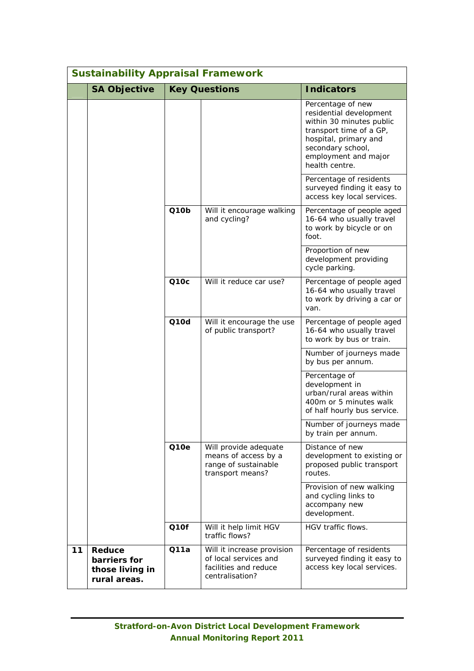| <b>Sustainability Appraisal Framework</b> |                                                           |                      |                                                                                                 |                                                                                                                                                                                             |  |
|-------------------------------------------|-----------------------------------------------------------|----------------------|-------------------------------------------------------------------------------------------------|---------------------------------------------------------------------------------------------------------------------------------------------------------------------------------------------|--|
|                                           | <b>SA Objective</b>                                       | <b>Key Questions</b> |                                                                                                 | <b>Indicators</b>                                                                                                                                                                           |  |
|                                           |                                                           |                      |                                                                                                 | Percentage of new<br>residential development<br>within 30 minutes public<br>transport time of a GP,<br>hospital, primary and<br>secondary school,<br>employment and major<br>health centre. |  |
|                                           |                                                           |                      |                                                                                                 | Percentage of residents<br>surveyed finding it easy to<br>access key local services.                                                                                                        |  |
|                                           |                                                           | Q10 <sub>b</sub>     | Will it encourage walking<br>and cycling?                                                       | Percentage of people aged<br>16-64 who usually travel<br>to work by bicycle or on<br>foot.                                                                                                  |  |
|                                           |                                                           |                      |                                                                                                 | Proportion of new<br>development providing<br>cycle parking.                                                                                                                                |  |
|                                           |                                                           | Q10c                 | Will it reduce car use?                                                                         | Percentage of people aged<br>16-64 who usually travel<br>to work by driving a car or<br>van.                                                                                                |  |
|                                           |                                                           | Q10d                 | Will it encourage the use<br>of public transport?                                               | Percentage of people aged<br>16-64 who usually travel<br>to work by bus or train.                                                                                                           |  |
|                                           |                                                           |                      |                                                                                                 | Number of journeys made<br>by bus per annum.                                                                                                                                                |  |
|                                           |                                                           |                      |                                                                                                 | Percentage of<br>development in<br>urban/rural areas within<br>400m or 5 minutes walk<br>of half hourly bus service.                                                                        |  |
|                                           |                                                           |                      |                                                                                                 | Number of journeys made<br>by train per annum.                                                                                                                                              |  |
|                                           |                                                           | Q10e                 | Will provide adequate<br>means of access by a<br>range of sustainable<br>transport means?       | Distance of new<br>development to existing or<br>proposed public transport<br>routes.                                                                                                       |  |
|                                           |                                                           |                      |                                                                                                 | Provision of new walking<br>and cycling links to<br>accompany new<br>development.                                                                                                           |  |
|                                           |                                                           | Q10f                 | Will it help limit HGV<br>traffic flows?                                                        | HGV traffic flows.                                                                                                                                                                          |  |
| 11                                        | Reduce<br>barriers for<br>those living in<br>rural areas. | Q11a                 | Will it increase provision<br>of local services and<br>facilities and reduce<br>centralisation? | Percentage of residents<br>surveyed finding it easy to<br>access key local services.                                                                                                        |  |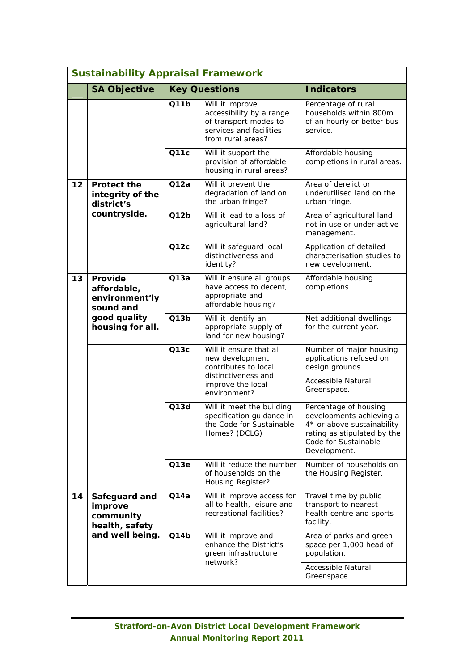| <b>Sustainability Appraisal Framework</b> |                                                                                           |                                                                                                                                        |                                                                                                                      |                                                                                                                                                        |  |
|-------------------------------------------|-------------------------------------------------------------------------------------------|----------------------------------------------------------------------------------------------------------------------------------------|----------------------------------------------------------------------------------------------------------------------|--------------------------------------------------------------------------------------------------------------------------------------------------------|--|
|                                           | <b>SA Objective</b>                                                                       |                                                                                                                                        | <b>Key Questions</b>                                                                                                 | <b>Indicators</b>                                                                                                                                      |  |
|                                           |                                                                                           | Q11b                                                                                                                                   | Will it improve<br>accessibility by a range<br>of transport modes to<br>services and facilities<br>from rural areas? | Percentage of rural<br>households within 800m<br>of an hourly or better bus<br>service.                                                                |  |
|                                           |                                                                                           | Q11c                                                                                                                                   | Will it support the<br>provision of affordable<br>housing in rural areas?                                            | Affordable housing<br>completions in rural areas.                                                                                                      |  |
| 12                                        | <b>Protect the</b><br>integrity of the<br>district's<br>countryside.                      | Q12a                                                                                                                                   | Will it prevent the<br>degradation of land on<br>the urban fringe?                                                   | Area of derelict or<br>underutilised land on the<br>urban fringe.                                                                                      |  |
|                                           |                                                                                           | Q12b                                                                                                                                   | Will it lead to a loss of<br>agricultural land?                                                                      | Area of agricultural land<br>not in use or under active<br>management.                                                                                 |  |
|                                           |                                                                                           | Q12c                                                                                                                                   | Will it safeguard local<br>distinctiveness and<br>identity?                                                          | Application of detailed<br>characterisation studies to<br>new development.                                                                             |  |
| 13                                        | Provide<br>affordable,<br>environment'ly<br>sound and<br>good quality<br>housing for all. | Q13a                                                                                                                                   | Will it ensure all groups<br>have access to decent,<br>appropriate and<br>affordable housing?                        | Affordable housing<br>completions.                                                                                                                     |  |
|                                           |                                                                                           | Q13b                                                                                                                                   | Will it identify an<br>appropriate supply of<br>land for new housing?                                                | Net additional dwellings<br>for the current year.                                                                                                      |  |
|                                           |                                                                                           | Q13c<br>Will it ensure that all<br>new development<br>contributes to local<br>distinctiveness and<br>improve the local<br>environment? |                                                                                                                      | Number of major housing<br>applications refused on<br>design grounds.                                                                                  |  |
|                                           |                                                                                           |                                                                                                                                        | <b>Accessible Natural</b><br>Greenspace.                                                                             |                                                                                                                                                        |  |
|                                           |                                                                                           | Q13d                                                                                                                                   | Will it meet the building<br>specification guidance in<br>the Code for Sustainable<br>Homes? (DCLG)                  | Percentage of housing<br>developments achieving a<br>4* or above sustainability<br>rating as stipulated by the<br>Code for Sustainable<br>Development. |  |
|                                           |                                                                                           | Q13e                                                                                                                                   | Will it reduce the number<br>of households on the<br>Housing Register?                                               | Number of households on<br>the Housing Register.                                                                                                       |  |
| 14                                        | Safeguard and<br>improve<br>community<br>health, safety<br>and well being.                | Q14a                                                                                                                                   | Will it improve access for<br>all to health, leisure and<br>recreational facilities?                                 | Travel time by public<br>transport to nearest<br>health centre and sports<br>facility.                                                                 |  |
|                                           |                                                                                           | Q14b                                                                                                                                   | Will it improve and<br>enhance the District's<br>green infrastructure<br>network?                                    | Area of parks and green<br>space per 1,000 head of<br>population.                                                                                      |  |
|                                           |                                                                                           |                                                                                                                                        |                                                                                                                      | Accessible Natural<br>Greenspace.                                                                                                                      |  |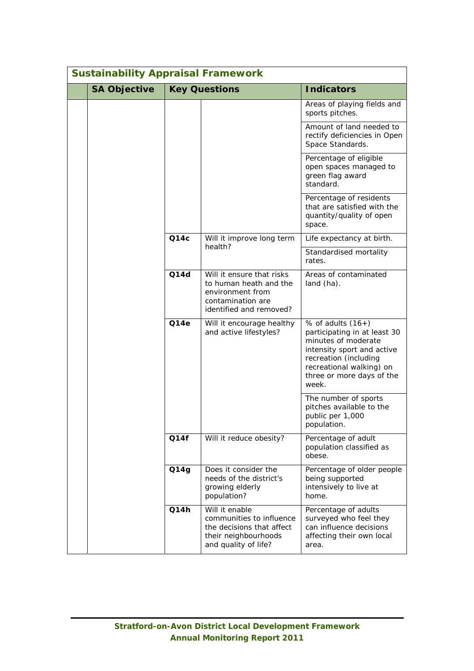| <b>Sustainability Appraisal Framework</b> |                     |                      |                                                                                                                         |                                                                                                                                                                                                     |  |
|-------------------------------------------|---------------------|----------------------|-------------------------------------------------------------------------------------------------------------------------|-----------------------------------------------------------------------------------------------------------------------------------------------------------------------------------------------------|--|
|                                           | <b>SA Objective</b> | <b>Key Questions</b> |                                                                                                                         | <b>Indicators</b>                                                                                                                                                                                   |  |
|                                           |                     |                      |                                                                                                                         | Areas of playing fields and<br>sports pitches.                                                                                                                                                      |  |
|                                           |                     |                      |                                                                                                                         | Amount of land needed to<br>rectify deficiencies in Open<br>Space Standards.                                                                                                                        |  |
|                                           |                     |                      |                                                                                                                         | Percentage of eligible<br>open spaces managed to<br>green flag award<br>standard.                                                                                                                   |  |
|                                           |                     |                      |                                                                                                                         | Percentage of residents<br>that are satisfied with the<br>quantity/quality of open<br>space.                                                                                                        |  |
|                                           |                     | Q14c                 | Will it improve long term<br>health?                                                                                    | Life expectancy at birth.                                                                                                                                                                           |  |
|                                           |                     |                      |                                                                                                                         | Standardised mortality<br>rates.                                                                                                                                                                    |  |
|                                           |                     | Q14d                 | Will it ensure that risks<br>to human heath and the<br>environment from<br>contamination are<br>identified and removed? | Areas of contaminated<br>$land (ha)$ .                                                                                                                                                              |  |
|                                           |                     | Q14e                 | Will it encourage healthy<br>and active lifestyles?                                                                     | % of adults $(16+)$<br>participating in at least 30<br>minutes of moderate<br>intensity sport and active<br>recreation (including<br>recreational walking) on<br>three or more days of the<br>week. |  |
|                                           |                     |                      |                                                                                                                         | The number of sports<br>pitches available to the<br>public per 1,000<br>population.                                                                                                                 |  |
|                                           |                     | Q14f                 | Will it reduce obesity?                                                                                                 | Percentage of adult<br>population classified as<br>obese.                                                                                                                                           |  |
|                                           |                     | Q14g                 | Does it consider the<br>needs of the district's<br>growing elderly<br>population?                                       | Percentage of older people<br>being supported<br>intensively to live at<br>home.                                                                                                                    |  |
|                                           |                     | Q14h                 | Will it enable<br>communities to influence<br>the decisions that affect<br>their neighbourhoods<br>and quality of life? | Percentage of adults<br>surveyed who feel they<br>can influence decisions<br>affecting their own local<br>area.                                                                                     |  |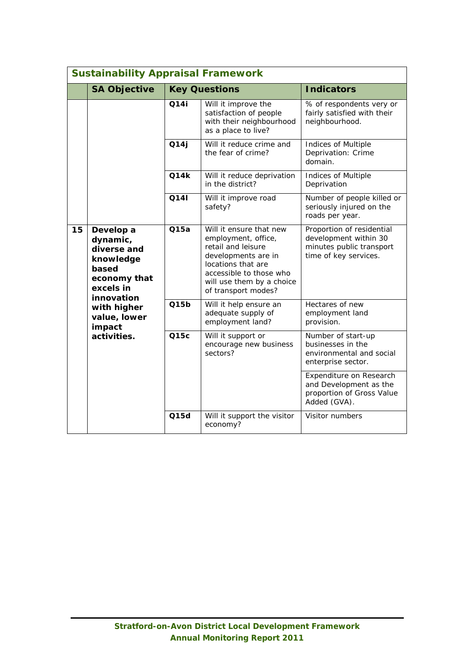| <b>Sustainability Appraisal Framework</b> |                                                                                                                                                               |      |                                                                                                                                                                                                  |                                                                                                         |  |
|-------------------------------------------|---------------------------------------------------------------------------------------------------------------------------------------------------------------|------|--------------------------------------------------------------------------------------------------------------------------------------------------------------------------------------------------|---------------------------------------------------------------------------------------------------------|--|
|                                           | <b>SA Objective</b>                                                                                                                                           |      | <b>Key Questions</b>                                                                                                                                                                             | <b>Indicators</b>                                                                                       |  |
|                                           |                                                                                                                                                               | Q14i | Will it improve the<br>satisfaction of people<br>with their neighbourhood<br>as a place to live?                                                                                                 | % of respondents very or<br>fairly satisfied with their<br>neighbourhood.                               |  |
|                                           |                                                                                                                                                               | Q14j | Will it reduce crime and<br>the fear of crime?                                                                                                                                                   | Indices of Multiple<br>Deprivation: Crime<br>domain.                                                    |  |
|                                           |                                                                                                                                                               | Q14k | Will it reduce deprivation<br>in the district?                                                                                                                                                   | Indices of Multiple<br>Deprivation                                                                      |  |
|                                           |                                                                                                                                                               | Q14I | Will it improve road<br>safety?                                                                                                                                                                  | Number of people killed or<br>seriously injured on the<br>roads per year.                               |  |
| 15                                        | Develop a<br>dynamic,<br>diverse and<br>knowledge<br>based<br>economy that<br>excels in<br>innovation<br>with higher<br>value, lower<br>impact<br>activities. | Q15a | Will it ensure that new<br>employment, office,<br>retail and leisure<br>developments are in<br>locations that are<br>accessible to those who<br>will use them by a choice<br>of transport modes? | Proportion of residential<br>development within 30<br>minutes public transport<br>time of key services. |  |
|                                           |                                                                                                                                                               | Q15b | Will it help ensure an<br>adequate supply of<br>employment land?                                                                                                                                 | Hectares of new<br>employment land<br>provision.                                                        |  |
|                                           |                                                                                                                                                               | Q15c | Will it support or<br>encourage new business<br>sectors?                                                                                                                                         | Number of start-up<br>businesses in the<br>environmental and social<br>enterprise sector.               |  |
|                                           |                                                                                                                                                               |      |                                                                                                                                                                                                  | Expenditure on Research<br>and Development as the<br>proportion of Gross Value<br>Added (GVA).          |  |
|                                           |                                                                                                                                                               | Q15d | Will it support the visitor<br>economy?                                                                                                                                                          | Visitor numbers                                                                                         |  |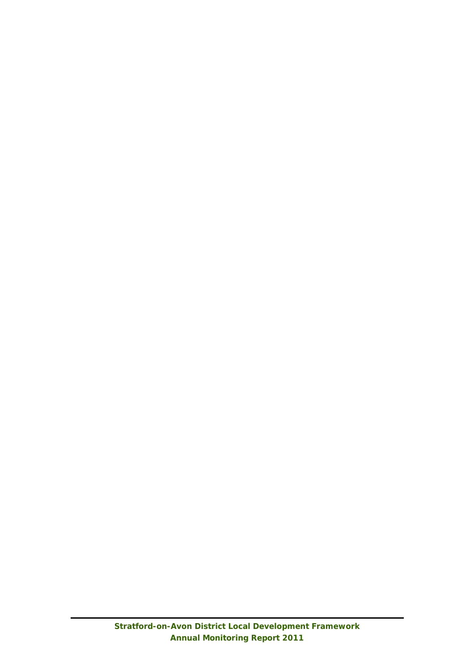**Stratford-on-Avon District Local Development Framework Annual Monitoring Report 2011**